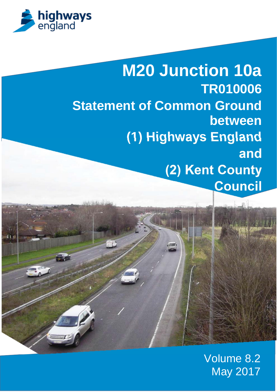

**M20 Junction 10a TR010006 Statement of Common Ground between (1) Highways England and (2) Kent County Council**

> Volume 8.2 May 2017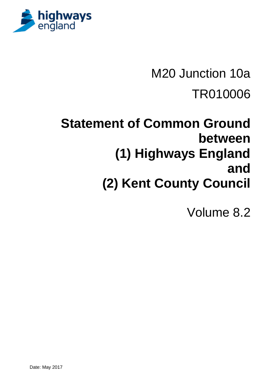

# **Statement of Common Ground between (1) Highways England and (2) Kent County Council**

Volume 8.2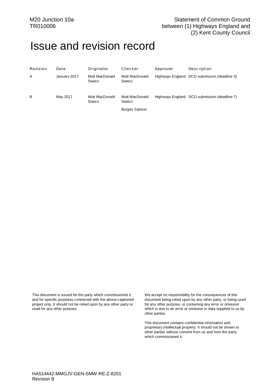# Issue and revision record

| Revision | Date         | Originator              | Checker                 | Approver | Description                                  |
|----------|--------------|-------------------------|-------------------------|----------|----------------------------------------------|
| Α        | January 2017 | Mott MacDonald<br>Sweco | Mott MacDonald<br>Sweco |          | Highways England DCO submission (deadline 3) |
| B        | May 2017     | Mott MacDonald<br>Sweco | Mott MacDonald<br>Sweco |          | Highways England DCO submission (deadline 7) |
|          |              |                         | <b>Burges Salmon</b>    |          |                                              |

This document is issued for the party which commissioned it and for specific purposes connected with the above-captioned project only. It should not be relied upon by any other party or used for any other purpose.

We accept no responsibility for the consequences of this document being relied upon by any other party, or being used for any other purpose, or containing any error or omission which is due to an error or omission in data supplied to us by other parties

This document contains confidential information and proprietary intellectual property. It should not be shown to other parties without consent from us and from the party which commissioned it.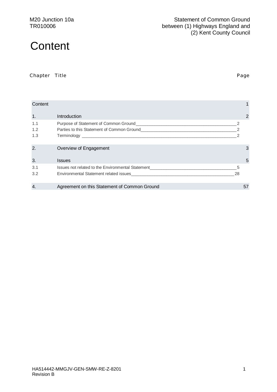# **Content**

Chapter Title **Page** 

| Content           |                                                                                                                                                                                    |         |    |
|-------------------|------------------------------------------------------------------------------------------------------------------------------------------------------------------------------------|---------|----|
| 1.                | Introduction                                                                                                                                                                       |         | 2  |
| 1.1<br>1.2<br>1.3 | Parties to this Statement of Common Ground<br>Terminology<br><u> 1989 - Johann Stoff, deutscher Stoff, der Stoff, der Stoff, der Stoff, der Stoff, der Stoff, der Stoff, der S</u> |         |    |
| 2.                | Overview of Engagement                                                                                                                                                             |         | 3  |
| 3.                | <b>Issues</b>                                                                                                                                                                      |         | 5  |
| 3.1<br>3.2        | Issues not related to the Environmental Statement<br>Environmental Statement related issues                                                                                        | 5<br>28 |    |
| 4.                | Agreement on this Statement of Common Ground                                                                                                                                       |         | 57 |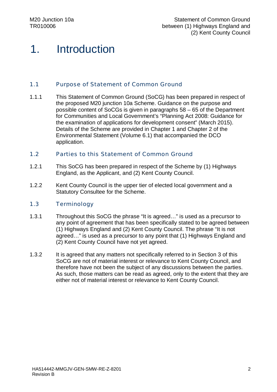# 1. Introduction

#### 1.1 Purpose of Statement of Common Ground

1.1.1 This Statement of Common Ground (SoCG) has been prepared in respect of the proposed M20 junction 10a Scheme. Guidance on the purpose and possible content of SoCGs is given in paragraphs 58 – 65 of the Department for Communities and Local Government's "Planning Act 2008: Guidance for the examination of applications for development consent" (March 2015). Details of the Scheme are provided in Chapter 1 and Chapter 2 of the Environmental Statement (Volume 6.1) that accompanied the DCO application.

#### 1.2 Parties to this Statement of Common Ground

- 1.2.1 This SoCG has been prepared in respect of the Scheme by (1) Highways England, as the Applicant, and (2) Kent County Council.
- 1.2.2 Kent County Council is the upper tier of elected local government and a Statutory Consultee for the Scheme.

#### 1.3 Terminology

- 1.3.1 Throughout this SoCG the phrase "It is agreed…" is used as a precursor to any point of agreement that has been specifically stated to be agreed between (1) Highways England and (2) Kent County Council. The phrase "It is not agreed…" is used as a precursor to any point that (1) Highways England and (2) Kent County Council have not yet agreed.
- 1.3.2 It is agreed that any matters not specifically referred to in Section 3 of this SoCG are not of material interest or relevance to Kent County Council, and therefore have not been the subject of any discussions between the parties. As such, those matters can be read as agreed, only to the extent that they are either not of material interest or relevance to Kent County Council.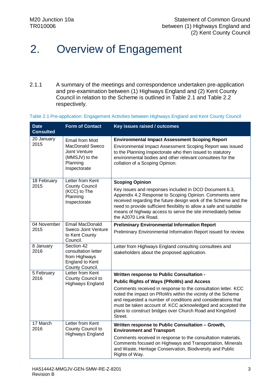# 2. Overview of Engagement

2.1.1 A summary of the meetings and correspondence undertaken pre-application and pre-examination between (1) Highways England and (2) Kent County Council in relation to the Scheme is outlined in Table 2.1 and Table 2.2 respectively.

Table 2.1 Pre-application: Engagement Activities between Highways England and Kent County Council

| <b>Date</b><br><b>Consulted</b> | <b>Form of Contact</b>                                                                                          | Key issues raised / outcomes                                                                                                                                                                                                                                                                                                                                                           |
|---------------------------------|-----------------------------------------------------------------------------------------------------------------|----------------------------------------------------------------------------------------------------------------------------------------------------------------------------------------------------------------------------------------------------------------------------------------------------------------------------------------------------------------------------------------|
| 20 January<br>2015              | <b>Email from Mott</b><br><b>MacDonald Sweco</b><br>Joint Venture<br>(MMSJV) to the<br>Planning<br>Inspectorate | <b>Environmental Impact Assessment Scoping Report</b><br>Environmental Impact Assessment Scoping Report was issued<br>to the Planning Inspectorate who then issued to statutory<br>environmental bodies and other relevant consultees for the<br>collation of a Scoping Opinion.                                                                                                       |
| 18 February<br>2015             | Letter from Kent<br><b>County Council</b><br>(KCC) to The<br>Planning<br>Inspectorate                           | <b>Scoping Opinion</b><br>Key issues and responses included in DCO Document 6.3,<br>Appendix 4.2 Response to Scoping Opinion. Comments were<br>received regarding the future design work of the Scheme and the<br>need to provide sufficient flexibility to allow a safe and suitable<br>means of highway access to serve the site immediately below<br>the A2070 Link Road.           |
| 04 November<br>2015             | <b>Email MacDonald</b><br><b>Sweco Joint Venture</b><br>to Kent County<br>Council.                              | <b>Preliminary Environmental Information Report</b><br>Preliminary Environmental Information Report issued for review.                                                                                                                                                                                                                                                                 |
| 8 January<br>2016               | Section 42<br>consultation letter<br>from Highways<br>England to Kent<br>County Council.                        | Letter from Highways England consulting consultees and<br>stakeholders about the proposed application.                                                                                                                                                                                                                                                                                 |
| 5 February<br>2016              | Letter from Kent<br>County Council to                                                                           | Written response to Public Consultation -                                                                                                                                                                                                                                                                                                                                              |
|                                 | Highways England                                                                                                | <b>Public Rights of Ways (PRoWs) and Access</b><br>Comments received in response to the consultation letter. KCC<br>noted the impact on PRoWs within the vicinity of the Scheme<br>and requested a number of conditions and considerations that<br>must be taken account of. KCC acknowledged and accepted the<br>plans to construct bridges over Church Road and Kingsford<br>Street. |
| 17 March<br>2016                | Letter from Kent<br>County Council to                                                                           | Written response to Public Consultation - Growth,<br><b>Environment and Transport</b>                                                                                                                                                                                                                                                                                                  |
|                                 | <b>Highways England</b>                                                                                         | Comments received in response to the consultation materials.<br>Comments focused on Highways and Transportation, Minerals<br>and Waste, Heritage Conservation, Biodiversity and Public<br>Rights of Way.                                                                                                                                                                               |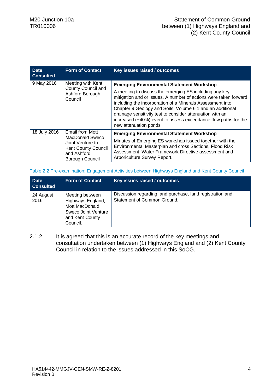| <b>Date</b><br><b>Consulted</b> | <b>Form of Contact</b>                                                                                                        | Key issues raised / outcomes                                                                                                                                                                                                                                                                                                                                                                                                                                      |
|---------------------------------|-------------------------------------------------------------------------------------------------------------------------------|-------------------------------------------------------------------------------------------------------------------------------------------------------------------------------------------------------------------------------------------------------------------------------------------------------------------------------------------------------------------------------------------------------------------------------------------------------------------|
| 9 May 2016                      | Meeting with Kent<br>County Council and<br>Ashford Borough<br>Council                                                         | <b>Emerging Environmental Statement Workshop</b><br>A meeting to discuss the emerging ES including any key<br>mitigation and or issues. A number of actions were taken forward<br>including the incorporation of a Minerals Assessment into<br>Chapter 9 Geology and Soils, Volume 6.1 and an additional<br>drainage sensitivity test to consider attenuation with an<br>increased (+40%) event to assess exceedance flow paths for the<br>new attenuation ponds. |
| 18 July 2016                    | <b>Email from Mott</b><br>MacDonald Sweco<br>Joint Venture to<br><b>Kent County Council</b><br>and Ashford<br>Borough Council | <b>Emerging Environmental Statement Workshop</b><br>Minutes of Emerging ES workshop issued together with the<br>Environmental Masterplan and cross Sections, Flood Risk<br>Assessment, Water Framework Directive assessment and<br>Arboriculture Survey Report.                                                                                                                                                                                                   |

Table 2.2 Pre-examination: Engagement Activities between Highways England and Kent County Council

| <b>Date</b><br><b>Consulted</b> | <b>Form of Contact</b>                                                                                       | Key issues raised / outcomes                                                             |
|---------------------------------|--------------------------------------------------------------------------------------------------------------|------------------------------------------------------------------------------------------|
| 24 August<br>2016               | Meeting between<br>Highways England,<br>Mott MacDonald<br>Sweco Joint Venture<br>and Kent County<br>Council. | Discussion regarding land purchase, land registration and<br>Statement of Common Ground. |

2.1.2 It is agreed that this is an accurate record of the key meetings and consultation undertaken between (1) Highways England and (2) Kent County Council in relation to the issues addressed in this SoCG.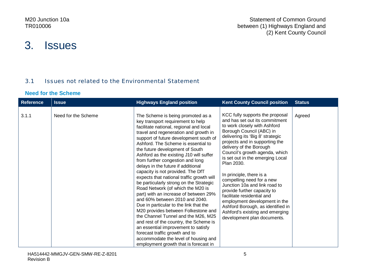# 3. Issues

### 3.1 Issues not related to the Environmental Statement

#### **Need for the Scheme**

| <b>Reference</b> | <b>Issue</b>        | <b>Highways England position</b>                                                                                                                                                                                                                                                                                                                                                                                                                                                                                                                                                                                                                                                                                                                                                                                                                                                                                                                                             | <b>Kent County Council position</b>                                                                                                                                                                                                                                                                                                                                                                                                                                                                                                                                                                               | <b>Status</b> |
|------------------|---------------------|------------------------------------------------------------------------------------------------------------------------------------------------------------------------------------------------------------------------------------------------------------------------------------------------------------------------------------------------------------------------------------------------------------------------------------------------------------------------------------------------------------------------------------------------------------------------------------------------------------------------------------------------------------------------------------------------------------------------------------------------------------------------------------------------------------------------------------------------------------------------------------------------------------------------------------------------------------------------------|-------------------------------------------------------------------------------------------------------------------------------------------------------------------------------------------------------------------------------------------------------------------------------------------------------------------------------------------------------------------------------------------------------------------------------------------------------------------------------------------------------------------------------------------------------------------------------------------------------------------|---------------|
| 3.1.1            | Need for the Scheme | The Scheme is being promoted as a<br>key transport requirement to help<br>facilitate national, regional and local<br>travel and regeneration and growth in<br>support of future development south of<br>Ashford. The Scheme is essential to<br>the future development of South<br>Ashford as the existing J10 will suffer<br>from further congestion and long<br>delays in the future if additional<br>capacity is not provided. The DfT<br>expects that national traffic growth will<br>be particularly strong on the Strategic<br>Road Network (of which the M20 is<br>part) with an increase of between 29%<br>and 60% between 2010 and 2040.<br>Due in particular to the link that the<br>M20 provides between Folkestone and<br>the Channel Tunnel and the M26, M25<br>and rest of the country, the Scheme is<br>an essential improvement to satisfy<br>forecast traffic growth and to<br>accommodate the level of housing and<br>employment growth that is forecast in | KCC fully supports the proposal<br>and has set out its commitment<br>to work closely with Ashford<br>Borough Council (ABC) in<br>delivering its 'Big 8' strategic<br>projects and in supporting the<br>delivery of the Borough<br>Council's growth agenda, which<br>is set out in the emerging Local<br>Plan 2030.<br>In principle, there is a<br>compelling need for a new<br>Junction 10a and link road to<br>provide further capacity to<br>facilitate residential and<br>employment development in the<br>Ashford Borough, as identified in<br>Ashford's existing and emerging<br>development plan documents. | Agreed        |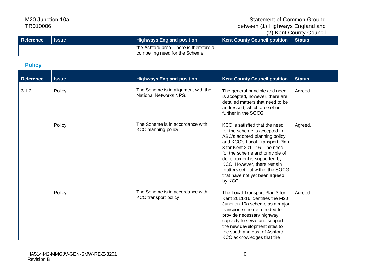#### Statement of Common Ground between (1) Highways England and (2) Kent County Council

| Reference | <b>Issue</b> | <b>Highways England position</b>                                          | <b>Kent County Council position Status</b> |  |
|-----------|--------------|---------------------------------------------------------------------------|--------------------------------------------|--|
|           |              | the Ashford area. There is therefore a<br>compelling need for the Scheme. |                                            |  |

#### **Policy**

| <b>Reference</b> | <b>Issue</b> | <b>Highways England position</b>                              | <b>Kent County Council position</b>                                                                                                                                                                                                                                                                                                              | <b>Status</b> |
|------------------|--------------|---------------------------------------------------------------|--------------------------------------------------------------------------------------------------------------------------------------------------------------------------------------------------------------------------------------------------------------------------------------------------------------------------------------------------|---------------|
| 3.1.2            | Policy       | The Scheme is in alignment with the<br>National Networks NPS. | The general principle and need<br>is accepted, however, there are<br>detailed matters that need to be<br>addressed; which are set out<br>further in the SOCG.                                                                                                                                                                                    | Agreed.       |
|                  | Policy       | The Scheme is in accordance with<br>KCC planning policy.      | KCC is satisfied that the need<br>for the scheme is accepted in<br>ABC's adopted planning policy<br>and KCC's Local Transport Plan<br>3 for Kent 2011-16. The need<br>for the scheme and principle of<br>development is supported by<br>KCC. However, there remain<br>matters set out within the SOCG<br>that have not yet been agreed<br>by KCC | Agreed.       |
|                  | Policy       | The Scheme is in accordance with<br>KCC transport policy.     | The Local Transport Plan 3 for<br>Kent 2011-16 identifies the M20<br>Junction 10a scheme as a major<br>transport scheme, needed to<br>provide necessary highway<br>capacity to serve and support<br>the new development sites to<br>the south and east of Ashford.<br>KCC acknowledges that the                                                  | Agreed.       |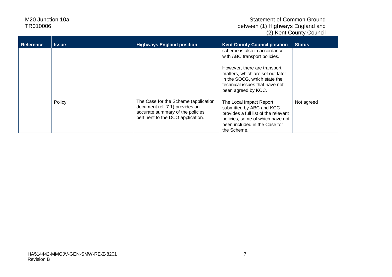| <b>Reference</b> | <b>Issue</b> | <b>Highways England position</b>                                                                                                                | <b>Kent County Council position</b>                                                                                                                                             | <b>Status</b> |
|------------------|--------------|-------------------------------------------------------------------------------------------------------------------------------------------------|---------------------------------------------------------------------------------------------------------------------------------------------------------------------------------|---------------|
|                  |              |                                                                                                                                                 | scheme is also in accordance<br>with ABC transport policies.                                                                                                                    |               |
|                  |              |                                                                                                                                                 | However, there are transport<br>matters, which are set out later<br>in the SOCG, which state the<br>technical issues that have not<br>been agreed by KCC.                       |               |
|                  | Policy       | The Case for the Scheme (application<br>document ref. 7.1) provides an<br>accurate summary of the policies<br>pertinent to the DCO application. | The Local Impact Report<br>submitted by ABC and KCC<br>provides a full list of the relevant<br>policies, some of which have not<br>been included in the Case for<br>the Scheme. | Not agreed    |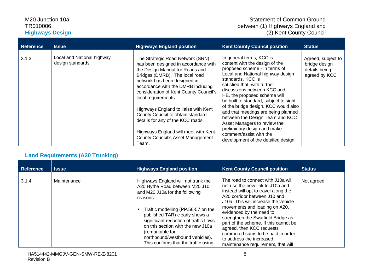#### M20 Junction 10a TR010006 **Highways Design**

| <b>Reference</b> | <b>Issue</b>                                    | <b>Highways England position</b>                                                                                                                                                                                                                                                                                                                                                                                                                                                                    | <b>Kent County Council position</b>                                                                                                                                                                                                                                                                                                                                                                                                                                                                                                               | <b>Status</b>                                                         |
|------------------|-------------------------------------------------|-----------------------------------------------------------------------------------------------------------------------------------------------------------------------------------------------------------------------------------------------------------------------------------------------------------------------------------------------------------------------------------------------------------------------------------------------------------------------------------------------------|---------------------------------------------------------------------------------------------------------------------------------------------------------------------------------------------------------------------------------------------------------------------------------------------------------------------------------------------------------------------------------------------------------------------------------------------------------------------------------------------------------------------------------------------------|-----------------------------------------------------------------------|
| 3.1.3            | Local and National highway<br>design standards. | The Strategic Road Network (SRN)<br>has been designed in accordance with<br>the Design Manual for Roads and<br>Bridges (DMRB). The local road<br>network has been designed in<br>accordance with the DMRB including<br>consideration of Kent County Council's<br>local requirements.<br>Highways England to liaise with Kent<br>County Council to obtain standard<br>details for any of the KCC roads.<br>Highways England will meet with Kent<br><b>County Council's Asset Management</b><br>Team. | In general terms, KCC is<br>content with the design of the<br>proposed scheme - in terms of<br>Local and National highway design<br>standards. KCC is<br>satisfied that, with further<br>discussions between KCC and<br>HE, the proposed scheme will<br>be built to standard, subject to sight<br>of the bridge design. KCC would also<br>add that meetings are being planned<br>between the Design Team and KCC<br>Asset Managers to review the<br>preliminary design and make<br>comment/assist with the<br>development of the detailed design. | Agreed, subject to<br>bridge design<br>details being<br>agreed by KCC |

### **Land Requirements (A20 Trunking)**

| <b>Reference</b> | <b>Issue</b> | <b>Highways England position</b>                                                                                                                                                                                                                                                                                                                                         | <b>Kent County Council position</b>                                                                                                                                                                                                                                                                                                                                                                                                                                    | <b>Status</b> |
|------------------|--------------|--------------------------------------------------------------------------------------------------------------------------------------------------------------------------------------------------------------------------------------------------------------------------------------------------------------------------------------------------------------------------|------------------------------------------------------------------------------------------------------------------------------------------------------------------------------------------------------------------------------------------------------------------------------------------------------------------------------------------------------------------------------------------------------------------------------------------------------------------------|---------------|
| 3.1.4            | Maintenance  | Highways England will not trunk the<br>A20 Hythe Road between M20 J10<br>and M20 J10a for the following<br>reasons:<br>Traffic modelling (PP.56-57 on the<br>published TAR) clearly shows a<br>significant reduction of traffic flows<br>on this section with the new J10a<br>(remarkable for<br>northbound/westbound vehicles).<br>This confirms that the traffic using | The road to connect with J10a will<br>not use the new link to J10a and<br>instead will opt to travel along the<br>A20 corridor between J10 and<br>J10a. This will increase the vehicle<br>movements and loading on A20,<br>evidenced by the need to<br>strengthen the Swatfield Bridge as<br>part of the scheme. If this cannot be<br>agreed, then KCC requests<br>commuted sums to be paid in order<br>to address the increased<br>maintenance requirement, that will | Not agreed    |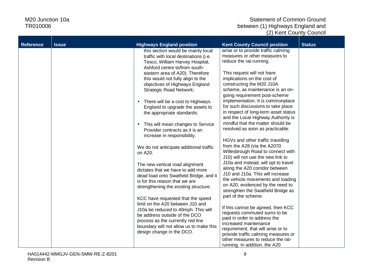| <b>Reference</b> | <b>Issue</b> | <b>Highways England position</b>                                                                                                                                                                                                                           | <b>Kent County Council position</b>                                                                                                                                                                                                                                                                   | <b>Status</b> |
|------------------|--------------|------------------------------------------------------------------------------------------------------------------------------------------------------------------------------------------------------------------------------------------------------------|-------------------------------------------------------------------------------------------------------------------------------------------------------------------------------------------------------------------------------------------------------------------------------------------------------|---------------|
|                  |              | this section would be mainly local<br>traffic with local destinations (i.e.<br>Tesco, William Harvey Hospital,<br>Ashford centre to/from south-                                                                                                            | arise or to provide traffic calming<br>measures or other measures to<br>reduce the rat-running.                                                                                                                                                                                                       |               |
|                  |              | eastern area of A20). Therefore<br>this would not fully align to the<br>objectives of Highways England<br>Strategic Road Network;                                                                                                                          | This request will not have<br>implications on the cost of<br>constructing the M20 J10A<br>scheme, as maintenance is an on-<br>going requirement post-scheme                                                                                                                                           |               |
|                  |              | There will be a cost to Highways<br>England to upgrade the assets to<br>the appropriate standards;<br>This will mean changes to Service<br>Provider contracts as it is an                                                                                  | implementation. It is commonplace<br>for such discussions to take place<br>in respect of long-term asset status<br>and the Local Highway Authority is<br>mindful that the matter should be<br>resolved as soon as practicable.                                                                        |               |
|                  |              | increase in responsibility.<br>We do not anticipate additional traffic<br>on A20.                                                                                                                                                                          | HGVs and other traffic travelling<br>from the A28 (via the A2070<br>Willesbrough Road to connect with<br>J10) will not use the new link to                                                                                                                                                            |               |
|                  |              | The new vertical road alignment<br>dictates that we have to add more<br>dead load onto Swatfield Bridge, and it<br>is for this reason that we are<br>strengthening the existing structure.                                                                 | J10a and instead, will opt to travel<br>along the A20 corridor between<br>J10 and J10a. This will increase<br>the vehicle movements and loading<br>on A20, evidenced by the need to<br>strengthen the Swatfield Bridge as                                                                             |               |
|                  |              | KCC have requested that the speed<br>limit on the A20 between J10 and<br>J10a be reduced to 40mph. This will<br>be address outside of the DCO<br>process as the currently red line<br>boundary will not allow us to make this<br>design change in the DCO. | part of the scheme.<br>If this cannot be agreed, then KCC<br>requests commuted sums to be<br>paid in order to address the<br>increased maintenance<br>requirement, that will arise or to<br>provide traffic calming measures or<br>other measures to reduce the rat-<br>running. In addition, the A20 |               |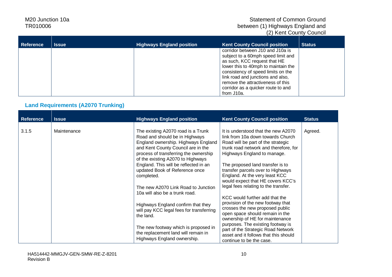#### Statement of Common Ground between (1) Highways England and (2) Kent County Council

| <b>Reference</b> | <b>Issue</b> | <b>Highways England position</b> | <b>Kent County Council position</b>                                                                                                                                                                                                                                                                               | <b>Status</b> |
|------------------|--------------|----------------------------------|-------------------------------------------------------------------------------------------------------------------------------------------------------------------------------------------------------------------------------------------------------------------------------------------------------------------|---------------|
|                  |              |                                  | corridor between J10 and J10a is<br>subject to a 60mph speed limit and<br>as such, KCC request that HE<br>lower this to 40mph to maintain the<br>consistency of speed limits on the<br>link road and junctions and also,<br>remove the attractiveness of this<br>corridor as a quicker route to and<br>from J10a. |               |

### **Land Requirements (A2070 Trunking)**

| <b>Reference</b> | <b>Issue</b> | <b>Highways England position</b>                                                                                                                                                                                                | <b>Kent County Council position</b>                                                                                                                                                    | <b>Status</b> |
|------------------|--------------|---------------------------------------------------------------------------------------------------------------------------------------------------------------------------------------------------------------------------------|----------------------------------------------------------------------------------------------------------------------------------------------------------------------------------------|---------------|
| 3.1.5            | Maintenance  | The existing A2070 road is a Trunk<br>Road and should be in Highways<br>England ownership. Highways England<br>and Kent County Council are in the<br>process of transferring the ownership<br>of the existing A2070 to Highways | It is understood that the new A2070<br>link from 10a down towards Church<br>Road will be part of the strategic<br>trunk road network and therefore, for<br>Highways England to manage. | Agreed.       |
|                  |              | England. This will be reflected in an<br>updated Book of Reference once<br>completed.                                                                                                                                           | The proposed land transfer is to<br>transfer parcels over to Highways<br>England. At the very least KCC<br>would expect that HE covers KCC's                                           |               |
|                  |              | The new A2070 Link Road to Junction<br>10a will also be a trunk road.                                                                                                                                                           | legal fees relating to the transfer.<br>KCC would further add that the                                                                                                                 |               |
|                  |              | Highways England confirm that they<br>will pay KCC legal fees for transferring<br>the land.                                                                                                                                     | provision of the new footway that<br>crosses the new proposed public<br>open space should remain in the<br>ownership of HE for maintenance                                             |               |
|                  |              | The new footway which is proposed in<br>the replacement land will remain in<br>Highways England ownership.                                                                                                                      | purposes. The existing footway is<br>part of the Strategic Road Network<br>asset and it follows that this should<br>continue to be the case.                                           |               |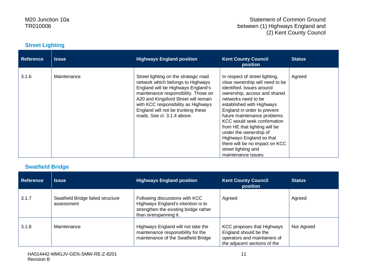#### Statement of Common Ground between (1) Highways England and (2) Kent County Council

#### **Street Lighting**

| <b>Reference</b> | <b>Issue</b> | <b>Highways England position</b>                                                                                                                                                                                                                                                                             | <b>Kent County Council</b><br><b>position</b>                                                                                                                                                                                                                                                                                                                                                                                                           | <b>Status</b> |
|------------------|--------------|--------------------------------------------------------------------------------------------------------------------------------------------------------------------------------------------------------------------------------------------------------------------------------------------------------------|---------------------------------------------------------------------------------------------------------------------------------------------------------------------------------------------------------------------------------------------------------------------------------------------------------------------------------------------------------------------------------------------------------------------------------------------------------|---------------|
| 3.1.6            | Maintenance  | Street lighting on the strategic road<br>network which belongs to Highways<br>England will be Highways England's<br>maintenance responsibility. Those on<br>A20 and Kingsford Street will remain<br>with KCC responsibility as Highways<br>England will not be trunking these<br>roads. See cl. 3.1.4 above. | In respect of street lighting,<br>clear ownership will need to be<br>identified. Issues around<br>ownership, access and shared<br>networks need to be<br>established with Highways<br>England in order to prevent<br>future maintenance problems.<br>KCC would seek confirmation<br>from HE that lighting will be<br>under the ownership of<br>Highways England so that<br>there will be no impact on KCC<br>street lighting and<br>maintenance issues. | Agreed        |

#### **Swatfield Bridge**

| <b>Reference</b> | <b>Issue</b>                                    | <b>Highways England position</b>                                                                                                       | <b>Kent County Council</b><br>position                                                                                     | <b>Status</b> |
|------------------|-------------------------------------------------|----------------------------------------------------------------------------------------------------------------------------------------|----------------------------------------------------------------------------------------------------------------------------|---------------|
| 3.1.7            | Swatfield Bridge failed structure<br>assessment | Following discussions with KCC<br>Highways England's intention is to<br>strengthen the existing bridge rather<br>than overspanning it. | Agreed                                                                                                                     | Agreed        |
| 3.1.8            | Maintenance                                     | Highways England will not take the<br>maintenance responsibility for the<br>maintenance of the Swatfield Bridge                        | <b>KCC proposes that Highways</b><br>England should be the<br>operators and maintainers of<br>the adjacent sections of the | Not Agreed    |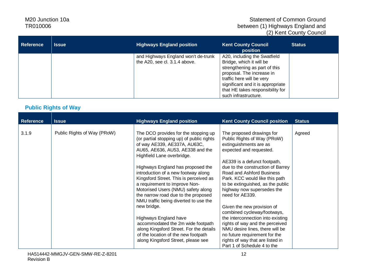#### Statement of Common Ground between (1) Highways England and (2) Kent County Council

| <b>Reference</b> | <b>Issue</b> | <b>Highways England position</b>                                     | <b>Kent County Council</b><br>position                                                                                                                                                                                                               | <b>Status</b> |
|------------------|--------------|----------------------------------------------------------------------|------------------------------------------------------------------------------------------------------------------------------------------------------------------------------------------------------------------------------------------------------|---------------|
|                  |              | and Highways England won't de-trunk<br>the A20, see cl. 3.1.4 above. | A20, including the Swatfield<br>Bridge, which it will be<br>strengthening as part of this<br>proposal. The increase in<br>traffic here will be very<br>significant and it is appropriate<br>that HE takes responsibility for<br>such infrastructure. |               |

### **Public Rights of Way**

| <b>Reference</b> | <b>Issue</b>                | <b>Highways England position</b>                                                                                                                                                                                                                                                                                                                                                                                        | <b>Kent County Council position</b>                                                                                                                                                                                                                                                                                                     | <b>Status</b> |
|------------------|-----------------------------|-------------------------------------------------------------------------------------------------------------------------------------------------------------------------------------------------------------------------------------------------------------------------------------------------------------------------------------------------------------------------------------------------------------------------|-----------------------------------------------------------------------------------------------------------------------------------------------------------------------------------------------------------------------------------------------------------------------------------------------------------------------------------------|---------------|
| 3.1.9            | Public Rights of Way (PRoW) | The DCO provides for the stopping up<br>(or partial stopping up) of public rights<br>of way AE339, AE337A, AU63C,<br>AU65, AE636, AU53, AE338 and the<br>Highfield Lane overbridge.<br>Highways England has proposed the<br>introduction of a new footway along<br>Kingsford Street. This is perceived as<br>a requirement to improve Non-<br>Motorised Users (NMU) safety along<br>the narrow road due to the proposed | The proposed drawings for<br>Public Rights of Way (PRoW)<br>extinguishments are as<br>expected and requested.<br>AE339 is a defunct footpath,<br>due to the construction of Barrey<br>Road and Ashford Business<br>Park. KCC would like this path<br>to be extinguished, as the public<br>highway now supersedes the<br>need for AE339. | Agreed        |
|                  |                             | NMU traffic being diverted to use the<br>new bridge.                                                                                                                                                                                                                                                                                                                                                                    | Given the new provision of                                                                                                                                                                                                                                                                                                              |               |
|                  |                             | Highways England have<br>accommodated the 2m wide footpath<br>along Kingsford Street. For the details<br>of the location of the new footpath<br>along Kingsford Street, please see                                                                                                                                                                                                                                      | combined cycleway/footways,<br>the interconnection into existing<br>rights of way and the perceived<br>NMU desire lines, there will be<br>no future requirement for the<br>rights of way that are listed in<br>Part 1 of Schedule 4 to the                                                                                              |               |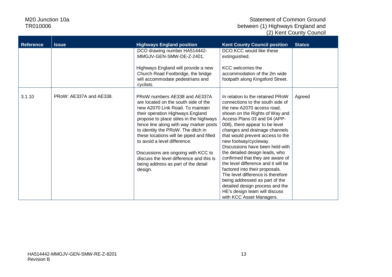| <b>Reference</b> | <b>Issue</b>            | <b>Highways England position</b>                                                                                                                                                                                                                                                                                                                                                                                                                                                          | <b>Kent County Council position</b>                                                                                                                                                                                                                                                                                                                                                                                                                                                                                                                                                                                                                           | <b>Status</b> |
|------------------|-------------------------|-------------------------------------------------------------------------------------------------------------------------------------------------------------------------------------------------------------------------------------------------------------------------------------------------------------------------------------------------------------------------------------------------------------------------------------------------------------------------------------------|---------------------------------------------------------------------------------------------------------------------------------------------------------------------------------------------------------------------------------------------------------------------------------------------------------------------------------------------------------------------------------------------------------------------------------------------------------------------------------------------------------------------------------------------------------------------------------------------------------------------------------------------------------------|---------------|
|                  |                         | DCO drawing number HA514442-<br>MMGJV-GEN-SMW-DE-Z-2401.                                                                                                                                                                                                                                                                                                                                                                                                                                  | DCO.KCC would like these<br>extinguished.                                                                                                                                                                                                                                                                                                                                                                                                                                                                                                                                                                                                                     |               |
|                  |                         | Highways England will provide a new<br>Church Road Footbridge, the bridge<br>will accommodate pedestrians and<br>cyclists.                                                                                                                                                                                                                                                                                                                                                                | <b>KCC</b> welcomes the<br>accommodation of the 2m wide<br>footpath along Kingsford Street.                                                                                                                                                                                                                                                                                                                                                                                                                                                                                                                                                                   |               |
| 3.1.10           | PRoW: AE337A and AE338. | PRoW numbers AE338 and AE337A<br>are located on the south side of the<br>new A2070 Link Road. To maintain<br>their operation Highways England<br>propose to place stiles in the highways<br>fence line along with way marker posts<br>to identity the PRoW. The ditch in<br>these locations will be piped and filled<br>to avoid a level difference.<br>Discussions are ongoing with KCC to<br>discuss the level difference and this is<br>being address as part of the detail<br>design. | In relation to the retained PRoW<br>connections to the south side of<br>the new A2070 access road.<br>shown on the Rights of Way and<br>Access Plans 03 and 04 (APP-<br>008), there appear to be level<br>changes and drainage channels<br>that would prevent access to the<br>new footway/cycleway.<br>Discussions have been held with<br>the detailed design leads, who<br>confirmed that they are aware of<br>the level difference and it will be<br>factored into their proposals.<br>The level difference is therefore<br>being addressed as part of the<br>detailed design process and the<br>HE's design team will discuss<br>with KCC Asset Managers. | Agreed        |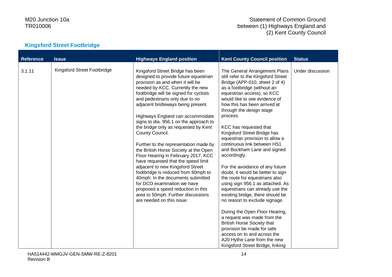#### Statement of Common Ground between (1) Highways England and (2) Kent County Council

# **Kingsford Street Footbridge**

| <b>Reference</b> | <b>Issue</b>                | <b>Highways England position</b>                                                                                                                                                                                                                                                                                                                                                                                                                                                                                                                                                                                                                                                                                                                                                                                                     | <b>Kent County Council position</b>                                                                                                                                                                                                                                                                                                                                                                                                                                                                                                                                                                                                                                                                                                                                                                                                                                                                                                                | <b>Status</b>    |
|------------------|-----------------------------|--------------------------------------------------------------------------------------------------------------------------------------------------------------------------------------------------------------------------------------------------------------------------------------------------------------------------------------------------------------------------------------------------------------------------------------------------------------------------------------------------------------------------------------------------------------------------------------------------------------------------------------------------------------------------------------------------------------------------------------------------------------------------------------------------------------------------------------|----------------------------------------------------------------------------------------------------------------------------------------------------------------------------------------------------------------------------------------------------------------------------------------------------------------------------------------------------------------------------------------------------------------------------------------------------------------------------------------------------------------------------------------------------------------------------------------------------------------------------------------------------------------------------------------------------------------------------------------------------------------------------------------------------------------------------------------------------------------------------------------------------------------------------------------------------|------------------|
| 3.1.11           | Kingsford Street Footbridge | Kingsford Street Bridge has been<br>designed to provide future equestrian<br>provision as and when it will be<br>needed by KCC. Currently the new<br>footbridge will be signed for cyclists<br>and pedestrians only due to no<br>adjacent bridleways being present.<br>Highways England can accommodate<br>signs to dia. 956.1 on the approach to<br>the bridge only as requested by Kent<br>County Council.<br>Further to the representation made by<br>the British Horse Society at the Open<br>Floor Hearing in February 2017, KCC<br>have requested that the speed limit<br>adjacent to new Kingsford Street<br>footbridge is reduced from 60mph to<br>40mph. In the documents submitted<br>for DCO examination we have<br>proposed a speed reduction in this<br>area to 50mph. Further discussions<br>are needed on this issue. | The General Arrangement Plans<br>still refer to the Kingsford Street<br>Bridge (APP-010, sheet 2 of 4)<br>as a footbridge (without an<br>equestrian access), so KCC<br>would like to see evidence of<br>how this has been arrived at<br>through the design stage<br>process.<br>KCC has requested that<br>Kingsford Street Bridge has<br>equestrian provision to allow a<br>continuous link between HS1<br>and Bockham Lane and signed<br>accordingly.<br>For the avoidance of any future<br>doubt, it would be better to sign<br>the route for equestrians also<br>using sign 956.1 as attached. As<br>equestrians can already use the<br>existing bridge, there should be<br>no reason to exclude signage.<br>During the Open Floor Hearing,<br>a request was made from the<br><b>British Horse Society that</b><br>provision be made for safe<br>access on to and across the<br>A20 Hythe Lane from the new<br>Kingsford Street Bridge, linking | Under discussion |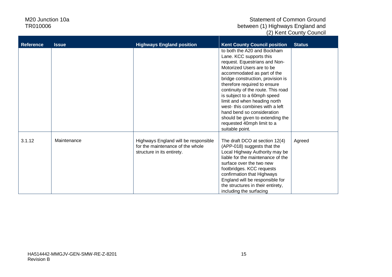| <b>Reference</b> | <b>Issue</b> | <b>Highways England position</b>                                                                       | <b>Kent County Council position</b>                                                                                                                                                                                                                                                                                                                                                                                                                                                | <b>Status</b> |
|------------------|--------------|--------------------------------------------------------------------------------------------------------|------------------------------------------------------------------------------------------------------------------------------------------------------------------------------------------------------------------------------------------------------------------------------------------------------------------------------------------------------------------------------------------------------------------------------------------------------------------------------------|---------------|
|                  |              |                                                                                                        | to both the A20 and Bockham<br>Lane. KCC supports this<br>request. Equestrians and Non-<br>Motorized Users are to be<br>accommodated as part of the<br>bridge construction, provision is<br>therefore required to ensure<br>continuity of the route. This road<br>is subject to a 60mph speed<br>limit and when heading north<br>west-this combines with a left<br>hand bend so consideration<br>should be given to extending the<br>requested 40mph limit to a<br>suitable point. |               |
| 3.1.12           | Maintenance  | Highways England will be responsible<br>for the maintenance of the whole<br>structure in its entirety. | The draft DCO at section 12(4)<br>(APP-018) suggests that the<br>Local Highway Authority may be<br>liable for the maintenance of the<br>surface over the two new<br>footbridges. KCC requests<br>confirmation that Highways<br>England will be responsible for<br>the structures in their entirety,<br>including the surfacing                                                                                                                                                     | Agreed        |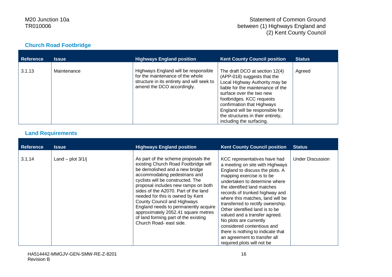#### **Church Road Footbridge**

| <b>Reference</b> | <b>Issue</b> | <b>Highways England position</b>                                                                                                                     | <b>Kent County Council position</b>                                                                                                                                                                                                                                                                                             | <b>Status</b> |
|------------------|--------------|------------------------------------------------------------------------------------------------------------------------------------------------------|---------------------------------------------------------------------------------------------------------------------------------------------------------------------------------------------------------------------------------------------------------------------------------------------------------------------------------|---------------|
| 3.1.13           | Maintenance  | Highways England will be responsible<br>for the maintenance of the whole<br>structure in its entirety and will seek to<br>amend the DCO accordingly. | The draft DCO at section 12(4)<br>(APP-018) suggests that the<br>Local Highway Authority may be<br>liable for the maintenance of the<br>surface over the two new<br>footbridges. KCC requests<br>confirmation that Highways<br>England will be responsible for<br>the structures in their entirety,<br>including the surfacing. | Agreed        |

# **Land Requirements**

| <b>Reference</b> | <b>Issue</b>        | <b>Highways England position</b>                                                                                                                                                                                                                                                                                                                                                                                                                                                        | <b>Kent County Council position</b>                                                                                                                                                                                                                                                                                                                                                                                                                                                                                                      | <b>Status</b>           |
|------------------|---------------------|-----------------------------------------------------------------------------------------------------------------------------------------------------------------------------------------------------------------------------------------------------------------------------------------------------------------------------------------------------------------------------------------------------------------------------------------------------------------------------------------|------------------------------------------------------------------------------------------------------------------------------------------------------------------------------------------------------------------------------------------------------------------------------------------------------------------------------------------------------------------------------------------------------------------------------------------------------------------------------------------------------------------------------------------|-------------------------|
| 3.1.14           | Land – plot $3/1/j$ | As part of the scheme proposals the<br>existing Church Road Footbridge will<br>be demolished and a new bridge<br>accommodating pedestrians and<br>cyclists will be constructed. The<br>proposal includes new ramps on both<br>sides of the A2070. Part of the land<br>needed for this is owned by Kent<br>County Council and Highways<br>England needs to permanently acquire<br>approximately 2052.41 square metres<br>of land forming part of the existing<br>Church Road- east side. | KCC representatives have had<br>a meeting on site with Highways<br>England to discuss the plots. A<br>mapping exercise is to be<br>undertaken to determine where<br>the identified land matches<br>records of trunked highway and<br>where this matches, land will be<br>transferred to rectify ownership.<br>Other identified land is to be<br>valued and a transfer agreed.<br>No plots are currently<br>considered contentious and<br>there is nothing to indicate that<br>an agreement to transfer all<br>required plots will not be | <b>Under Discussion</b> |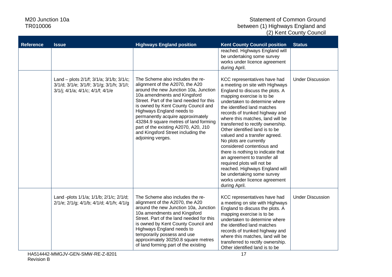| <b>Reference</b> | <b>Issue</b>                                                                                                                | <b>Highways England position</b>                                                                                                                                                                                                                                                                                                                                                                                                              | <b>Kent County Council position</b>                                                                                                                                                                                                                                                                                                                                                                                                                                                                                                                                                                                                                        | <b>Status</b>           |
|------------------|-----------------------------------------------------------------------------------------------------------------------------|-----------------------------------------------------------------------------------------------------------------------------------------------------------------------------------------------------------------------------------------------------------------------------------------------------------------------------------------------------------------------------------------------------------------------------------------------|------------------------------------------------------------------------------------------------------------------------------------------------------------------------------------------------------------------------------------------------------------------------------------------------------------------------------------------------------------------------------------------------------------------------------------------------------------------------------------------------------------------------------------------------------------------------------------------------------------------------------------------------------------|-------------------------|
|                  |                                                                                                                             |                                                                                                                                                                                                                                                                                                                                                                                                                                               | reached. Highways England will<br>be undertaking some survey<br>works under licence agreement<br>during April.                                                                                                                                                                                                                                                                                                                                                                                                                                                                                                                                             |                         |
|                  | Land - plots 2/1/f; 3/1/a; 3/1/b; 3/1/c;<br>3/1/d; 3/1/e; 3/1/f/; 3/1/g; 3/1/h; 3/1/l;<br>3/1/j; 4/1/a; 4/1/c; 4/1/f; 4/1/e | The Scheme also includes the re-<br>alignment of the A2070, the A20<br>around the new Junction 10a, Junction<br>10a amendments and Kingsford<br>Street. Part of the land needed for this<br>is owned by Kent County Council and<br>Highways England needs to<br>permanently acquire approximately<br>43284.9 square metres of land forming<br>part of the existing A2070, A20, J10<br>and Kingsford Street including the<br>adjoining verges. | KCC representatives have had<br>a meeting on site with Highways<br>England to discuss the plots. A<br>mapping exercise is to be<br>undertaken to determine where<br>the identified land matches<br>records of trunked highway and<br>where this matches, land will be<br>transferred to rectify ownership.<br>Other identified land is to be<br>valued and a transfer agreed.<br>No plots are currently<br>considered contentious and<br>there is nothing to indicate that<br>an agreement to transfer all<br>required plots will not be<br>reached. Highways England will<br>be undertaking some survey<br>works under licence agreement<br>during April. | <b>Under Discussion</b> |
|                  | Land -plots 1/1/a; 1/1/b; 2/1/c; 2/1/d;<br>2/1/e; 2/1/g; 4/1/b; 4/1/d; 4/1/h; 4/1/g                                         | The Scheme also includes the re-<br>alignment of the A2070, the A20<br>around the new Junction 10a, Junction<br>10a amendments and Kingsford<br>Street. Part of the land needed for this<br>is owned by Kent County Council and<br>Highways England needs to<br>temporarily possess and use<br>approximately 30250.8 square metres<br>of land forming part of the existing                                                                    | KCC representatives have had<br>a meeting on site with Highways<br>England to discuss the plots. A<br>mapping exercise is to be<br>undertaken to determine where<br>the identified land matches<br>records of trunked highway and<br>where this matches, land will be<br>transferred to rectify ownership.<br>Other identified land is to be                                                                                                                                                                                                                                                                                                               | <b>Under Discussion</b> |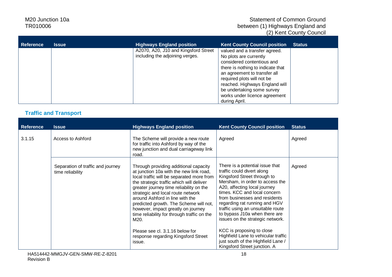#### Statement of Common Ground between (1) Highways England and (2) Kent County Council

| <b>Reference</b> | <b>Issue</b> | <b>Highways England position</b>                                        | <b>Kent County Council position</b>                                                                                                                                                                                                                                                                        | <b>Status</b> |
|------------------|--------------|-------------------------------------------------------------------------|------------------------------------------------------------------------------------------------------------------------------------------------------------------------------------------------------------------------------------------------------------------------------------------------------------|---------------|
|                  |              | A2070, A20, J10 and Kingsford Street<br>including the adjoining verges. | valued and a transfer agreed.<br>No plots are currently<br>considered contentious and<br>there is nothing to indicate that<br>an agreement to transfer all<br>required plots will not be<br>reached. Highways England will<br>be undertaking some survey<br>works under licence agreement<br>during April. |               |

# **Traffic and Transport**

| <b>Reference</b> | <b>Issue</b>                                          | <b>Highways England position</b>                                                                                                                                                                                                                                                                                                                                                                                                                                                                                        | <b>Kent County Council position</b>                                                                                                                                                                                                                                                                                                                                                                                                                                                                                   | <b>Status</b> |
|------------------|-------------------------------------------------------|-------------------------------------------------------------------------------------------------------------------------------------------------------------------------------------------------------------------------------------------------------------------------------------------------------------------------------------------------------------------------------------------------------------------------------------------------------------------------------------------------------------------------|-----------------------------------------------------------------------------------------------------------------------------------------------------------------------------------------------------------------------------------------------------------------------------------------------------------------------------------------------------------------------------------------------------------------------------------------------------------------------------------------------------------------------|---------------|
| 3.1.15           | Access to Ashford                                     | The Scheme will provide a new route<br>for traffic into Ashford by way of the<br>new junction and dual carriageway link<br>road.                                                                                                                                                                                                                                                                                                                                                                                        | Agreed                                                                                                                                                                                                                                                                                                                                                                                                                                                                                                                | Agreed        |
|                  | Separation of traffic and journey<br>time reliability | Through providing additional capacity<br>at junction 10a with the new link road,<br>local traffic will be separated more from<br>the strategic traffic which will deliver<br>greater journey time reliability on the<br>strategic and local route network<br>around Ashford in line with the<br>predicted growth. The Scheme will not,<br>however, impact greatly on journey<br>time reliability for through traffic on the<br>M20.<br>Please see cl. 3.1.16 below for<br>response regarding Kingsford Street<br>issue. | There is a potential issue that<br>traffic could divert along<br>Kingsford Street through to<br>Mersham, in order to access the<br>A20, affecting local journey<br>times. KCC and local concern<br>from businesses and residents<br>regarding rat running and HGV<br>traffic using an unsuitable route<br>to bypass J10a when there are<br>issues on the strategic network.<br>KCC is proposing to close<br>Highfield Lane to vehicular traffic<br>just south of the Highfield Lane /<br>Kingsford Street junction. A | Agreed        |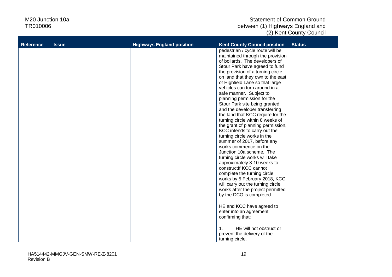| <b>Reference</b> | <b>Issue</b> | <b>Highways England position</b> | <b>Kent County Council position</b>       | <b>Status</b> |
|------------------|--------------|----------------------------------|-------------------------------------------|---------------|
|                  |              |                                  | pedestrian / cycle route will be          |               |
|                  |              |                                  | maintained through the provision          |               |
|                  |              |                                  | of bollards. The developers of            |               |
|                  |              |                                  | Stour Park have agreed to fund            |               |
|                  |              |                                  | the provision of a turning circle         |               |
|                  |              |                                  | on land that they own to the east         |               |
|                  |              |                                  | of Highfield Lane so that large           |               |
|                  |              |                                  | vehicles can turn around in a             |               |
|                  |              |                                  | safe manner. Subject to                   |               |
|                  |              |                                  | planning permission for the               |               |
|                  |              |                                  | Stour Park site being granted             |               |
|                  |              |                                  | and the developer transferring            |               |
|                  |              |                                  | the land that KCC require for the         |               |
|                  |              |                                  | turning circle within 8 weeks of          |               |
|                  |              |                                  | the grant of planning permission,         |               |
|                  |              |                                  | KCC intends to carry out the              |               |
|                  |              |                                  | turning circle works in the               |               |
|                  |              |                                  | summer of 2017, before any                |               |
|                  |              |                                  | works commence on the                     |               |
|                  |              |                                  | Junction 10a scheme. The                  |               |
|                  |              |                                  | turning circle works will take            |               |
|                  |              |                                  | approximately 8-10 weeks to               |               |
|                  |              |                                  | constructlf KCC cannot                    |               |
|                  |              |                                  | complete the turning circle               |               |
|                  |              |                                  | works by 5 February 2018, KCC             |               |
|                  |              |                                  | will carry out the turning circle         |               |
|                  |              |                                  | works after the project permitted         |               |
|                  |              |                                  | by the DCO is completed.                  |               |
|                  |              |                                  |                                           |               |
|                  |              |                                  | HE and KCC have agreed to                 |               |
|                  |              |                                  | enter into an agreement                   |               |
|                  |              |                                  | confirming that:                          |               |
|                  |              |                                  | HE will not obstruct or<br>$\mathbf{1}$ . |               |
|                  |              |                                  | prevent the delivery of the               |               |
|                  |              |                                  |                                           |               |
|                  |              |                                  | turning circle.                           |               |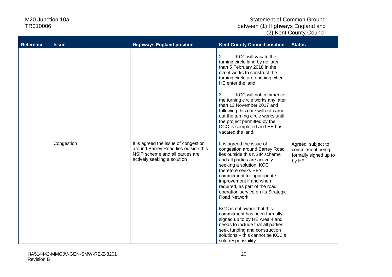| <b>Reference</b> | <b>Issue</b> | <b>Highways England position</b>                                                                                                               | <b>Kent County Council position</b>                                                                                                                                                                                                                                                                                                                                                                                                                                                                                                                              | <b>Status</b>                                                             |
|------------------|--------------|------------------------------------------------------------------------------------------------------------------------------------------------|------------------------------------------------------------------------------------------------------------------------------------------------------------------------------------------------------------------------------------------------------------------------------------------------------------------------------------------------------------------------------------------------------------------------------------------------------------------------------------------------------------------------------------------------------------------|---------------------------------------------------------------------------|
|                  |              |                                                                                                                                                | 2.<br>KCC will vacate the<br>turning circle land by no later<br>than 5 February 2018 in the<br>event works to construct the<br>turning circle are ongoing when<br>HE enter the land.<br>KCC will not commence<br>3.<br>the turning circle works any later<br>than 13 November 2017 and<br>following this date will not carry<br>out the turning circle works until<br>the project permitted by the<br>DCO is completed and HE has<br>vacated the land.                                                                                                           |                                                                           |
|                  | Congestion   | It is agreed the issue of congestion<br>around Barrey Road lies outside this<br>NSIP scheme and all parties are<br>actively seeking a solution | It is agreed the issue of<br>congestion around Barrey Road<br>lies outside this NSIP scheme<br>and all parties are actively<br>seeking a solution. KCC<br>therefore seeks HE's<br>commitment for appropriate<br>improvement if and when<br>required, as part of the road<br>operation service on its Strategic<br>Road Network.<br>KCC is not aware that this<br>commitment has been formally<br>signed up to by HE Area 4 and<br>needs to include that all parties<br>seek funding and construction<br>solutions - this cannot be KCC's<br>sole responsibility. | Agreed, subject to<br>commitment being<br>formally signed up to<br>by HE. |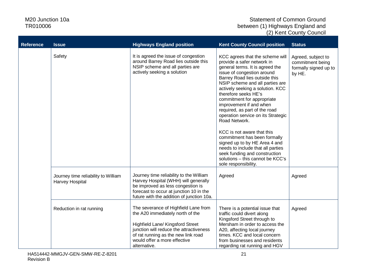| <b>Reference</b> | <b>Issue</b>                                           | <b>Highways England position</b>                                                                                                                                                                                                               | <b>Kent County Council position</b>                                                                                                                                                                                                                                                                                                                                                                                                                                                                                                                                                                                                              | <b>Status</b>                                                             |
|------------------|--------------------------------------------------------|------------------------------------------------------------------------------------------------------------------------------------------------------------------------------------------------------------------------------------------------|--------------------------------------------------------------------------------------------------------------------------------------------------------------------------------------------------------------------------------------------------------------------------------------------------------------------------------------------------------------------------------------------------------------------------------------------------------------------------------------------------------------------------------------------------------------------------------------------------------------------------------------------------|---------------------------------------------------------------------------|
|                  | Safety                                                 | It is agreed the issue of congestion<br>around Barrey Road lies outside this<br>NSIP scheme and all parties are<br>actively seeking a solution                                                                                                 | KCC agrees that the scheme will<br>provide a safer network in<br>general terms. It is agreed the<br>issue of congestion around<br>Barrey Road lies outside this<br>NSIP scheme and all parties are<br>actively seeking a solution. KCC<br>therefore seeks HE's<br>commitment for appropriate<br>improvement if and when<br>required, as part of the road<br>operation service on its Strategic<br>Road Network.<br>KCC is not aware that this<br>commitment has been formally<br>signed up to by HE Area 4 and<br>needs to include that all parties<br>seek funding and construction<br>solutions - this cannot be KCC's<br>sole responsibility. | Agreed, subject to<br>commitment being<br>formally signed up to<br>by HE. |
|                  | Journey time reliability to William<br>Harvey Hospital | Journey time reliability to the William<br>Harvey Hospital (WHH) will generally<br>be improved as less congestion is<br>forecast to occur at junction 10 in the<br>future with the addition of junction 10a.                                   | Agreed                                                                                                                                                                                                                                                                                                                                                                                                                                                                                                                                                                                                                                           | Agreed                                                                    |
|                  | Reduction in rat running                               | The severance of Highfield Lane from<br>the A20 immediately north of the<br>Highfield Lane/ Kingsford Street<br>junction will reduce the attractiveness<br>of rat running as the new link road<br>would offer a more effective<br>alternative. | There is a potential issue that<br>traffic could divert along<br>Kingsford Street through to<br>Mersham in order to access the<br>A20, affecting local journey<br>times. KCC and local concern<br>from businesses and residents<br>regarding rat running and HGV                                                                                                                                                                                                                                                                                                                                                                                 | Agreed                                                                    |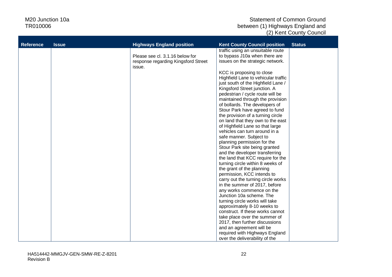| <b>Reference</b> | <b>Issue</b> | <b>Highways England position</b>              | <b>Kent County Council position</b> | <b>Status</b> |
|------------------|--------------|-----------------------------------------------|-------------------------------------|---------------|
|                  |              |                                               | traffic using an unsuitable route   |               |
|                  |              | Please see cl. 3.1.16 below for               | to bypass J10a when there are       |               |
|                  |              | response regarding Kingsford Street<br>issue. | issues on the strategic network.    |               |
|                  |              |                                               | KCC is proposing to close           |               |
|                  |              |                                               | Highfield Lane to vehicular traffic |               |
|                  |              |                                               | just south of the Highfield Lane /  |               |
|                  |              |                                               | Kingsford Street junction. A        |               |
|                  |              |                                               | pedestrian / cycle route will be    |               |
|                  |              |                                               | maintained through the provision    |               |
|                  |              |                                               | of bollards. The developers of      |               |
|                  |              |                                               | Stour Park have agreed to fund      |               |
|                  |              |                                               | the provision of a turning circle   |               |
|                  |              |                                               | on land that they own to the east   |               |
|                  |              |                                               | of Highfield Lane so that large     |               |
|                  |              |                                               | vehicles can turn around in a       |               |
|                  |              |                                               | safe manner. Subject to             |               |
|                  |              |                                               | planning permission for the         |               |
|                  |              |                                               | Stour Park site being granted       |               |
|                  |              |                                               | and the developer transferring      |               |
|                  |              |                                               | the land that KCC require for the   |               |
|                  |              |                                               | turning circle within 8 weeks of    |               |
|                  |              |                                               | the grant of the planning           |               |
|                  |              |                                               | permission, KCC intends to          |               |
|                  |              |                                               | carry out the turning circle works  |               |
|                  |              |                                               | in the summer of 2017, before       |               |
|                  |              |                                               | any works commence on the           |               |
|                  |              |                                               | Junction 10a scheme. The            |               |
|                  |              |                                               | turning circle works will take      |               |
|                  |              |                                               | approximately 8-10 weeks to         |               |
|                  |              |                                               | construct. If these works cannot    |               |
|                  |              |                                               | take place over the summer of       |               |
|                  |              |                                               | 2017, then further discussions      |               |
|                  |              |                                               | and an agreement will be            |               |
|                  |              |                                               | required with Highways England      |               |
|                  |              |                                               | over the deliverability of the      |               |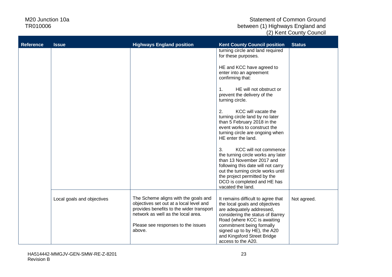| <b>Reference</b> | <b>Issue</b>               | <b>Highways England position</b>                                                                                                                                                                                  | <b>Kent County Council position</b>                                                                                                                                                                                                                                                    | <b>Status</b> |
|------------------|----------------------------|-------------------------------------------------------------------------------------------------------------------------------------------------------------------------------------------------------------------|----------------------------------------------------------------------------------------------------------------------------------------------------------------------------------------------------------------------------------------------------------------------------------------|---------------|
|                  |                            |                                                                                                                                                                                                                   | turning circle and land required<br>for these purposes.                                                                                                                                                                                                                                |               |
|                  |                            |                                                                                                                                                                                                                   | HE and KCC have agreed to<br>enter into an agreement<br>confirming that:                                                                                                                                                                                                               |               |
|                  |                            |                                                                                                                                                                                                                   | HE will not obstruct or<br>$\mathbf{1}$ .<br>prevent the delivery of the<br>turning circle.                                                                                                                                                                                            |               |
|                  |                            |                                                                                                                                                                                                                   | KCC will vacate the<br>2.<br>turning circle land by no later<br>than 5 February 2018 in the<br>event works to construct the<br>turning circle are ongoing when<br>HE enter the land.                                                                                                   |               |
|                  |                            |                                                                                                                                                                                                                   | KCC will not commence<br>3.<br>the turning circle works any later<br>than 13 November 2017 and<br>following this date will not carry<br>out the turning circle works until<br>the project permitted by the<br>DCO is completed and HE has<br>vacated the land.                         |               |
|                  | Local goals and objectives | The Scheme aligns with the goals and<br>objectives set out at a local level and<br>provides benefits to the wider transport<br>network as well as the local area.<br>Please see responses to the issues<br>above. | It remains difficult to agree that<br>the local goals and objectives<br>are adequately addressed,<br>considering the status of Barrey<br>Road (where KCC is awaiting<br>commitment being formally<br>signed up to by HE), the A20<br>and Kingsford Street Bridge<br>access to the A20. | Not agreed.   |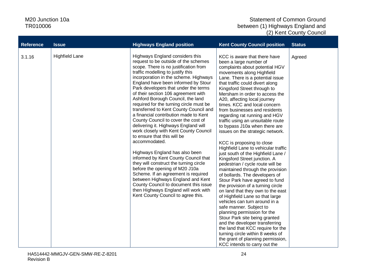| <b>Reference</b> | <b>Issue</b>          | <b>Highways England position</b>                                                                                                                                                                                                                                                                                                                                                                                                                                                                                                                                                                                                                                                                                                                                                                                                                                                                                                                                                                                         | <b>Kent County Council position</b>                                                                                                                                                                                                                                                                                                                                                                                                                                                                                                                                                                                                                                                                                                                                                                                                                                                                                                                                                                                                                                                                                                                                                                                      | <b>Status</b> |
|------------------|-----------------------|--------------------------------------------------------------------------------------------------------------------------------------------------------------------------------------------------------------------------------------------------------------------------------------------------------------------------------------------------------------------------------------------------------------------------------------------------------------------------------------------------------------------------------------------------------------------------------------------------------------------------------------------------------------------------------------------------------------------------------------------------------------------------------------------------------------------------------------------------------------------------------------------------------------------------------------------------------------------------------------------------------------------------|--------------------------------------------------------------------------------------------------------------------------------------------------------------------------------------------------------------------------------------------------------------------------------------------------------------------------------------------------------------------------------------------------------------------------------------------------------------------------------------------------------------------------------------------------------------------------------------------------------------------------------------------------------------------------------------------------------------------------------------------------------------------------------------------------------------------------------------------------------------------------------------------------------------------------------------------------------------------------------------------------------------------------------------------------------------------------------------------------------------------------------------------------------------------------------------------------------------------------|---------------|
| 3.1.16           | <b>Highfield Lane</b> | Highways England considers this<br>request to be outside of the schemes<br>scope. There is no justification from<br>traffic modelling to justify this<br>incorporation in the scheme. Highways<br>England have been informed by Stour<br>Park developers that under the terms<br>of their section 106 agreement with<br>Ashford Borough Council, the land<br>required for the turning circle must be<br>transferred to Kent County Council and<br>a financial contribution made to Kent<br>County Council to cover the cost of<br>delivering it. Highways England will<br>work closely with Kent County Council<br>to ensure that this will be<br>accommodated.<br>Highways England has also been<br>informed by Kent County Council that<br>they will construct the turning circle<br>before the opening of M20 J10a<br>Scheme. If an agreement is required<br>between Highways England and Kent<br>County Council to document this issue<br>then Highways England will work with<br>Kent County Council to agree this. | KCC is aware that there have<br>been a large number of<br>complaints about potential HGV<br>movements along Highfield<br>Lane. There is a potential issue<br>that traffic could divert along<br>Kingsford Street through to<br>Mersham in order to access the<br>A20, affecting local journey<br>times. KCC and local concern<br>from businesses and residents<br>regarding rat running and HGV<br>traffic using an unsuitable route<br>to bypass J10a when there are<br>issues on the strategic network.<br>KCC is proposing to close<br>Highfield Lane to vehicular traffic<br>just south of the Highfield Lane /<br>Kingsford Street junction. A<br>pedestrian / cycle route will be<br>maintained through the provision<br>of bollards. The developers of<br>Stour Park have agreed to fund<br>the provision of a turning circle<br>on land that they own to the east<br>of Highfield Lane so that large<br>vehicles can turn around in a<br>safe manner. Subject to<br>planning permission for the<br>Stour Park site being granted<br>and the developer transferring<br>the land that KCC require for the<br>turning circle within 8 weeks of<br>the grant of planning permission,<br>KCC intends to carry out the | Agreed        |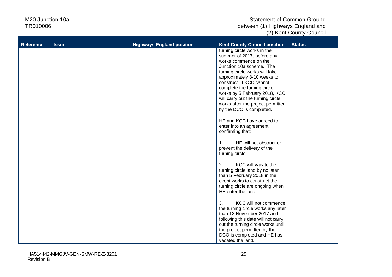| <b>Reference</b> | <b>Issue</b> | <b>Highways England position</b> | <b>Kent County Council position</b>                                | <b>Status</b> |
|------------------|--------------|----------------------------------|--------------------------------------------------------------------|---------------|
|                  |              |                                  | turning circle works in the                                        |               |
|                  |              |                                  | summer of 2017, before any<br>works commence on the                |               |
|                  |              |                                  | Junction 10a scheme. The                                           |               |
|                  |              |                                  | turning circle works will take                                     |               |
|                  |              |                                  | approximately 8-10 weeks to<br>construct. If KCC cannot            |               |
|                  |              |                                  | complete the turning circle                                        |               |
|                  |              |                                  | works by 5 February 2018, KCC<br>will carry out the turning circle |               |
|                  |              |                                  | works after the project permitted                                  |               |
|                  |              |                                  | by the DCO is completed.                                           |               |
|                  |              |                                  | HE and KCC have agreed to                                          |               |
|                  |              |                                  | enter into an agreement                                            |               |
|                  |              |                                  | confirming that:                                                   |               |
|                  |              |                                  | HE will not obstruct or<br>$\mathbf{1}$ .                          |               |
|                  |              |                                  | prevent the delivery of the<br>turning circle.                     |               |
|                  |              |                                  |                                                                    |               |
|                  |              |                                  | 2.<br>KCC will vacate the                                          |               |
|                  |              |                                  | turning circle land by no later<br>than 5 February 2018 in the     |               |
|                  |              |                                  | event works to construct the                                       |               |
|                  |              |                                  | turning circle are ongoing when<br>HE enter the land.              |               |
|                  |              |                                  |                                                                    |               |
|                  |              |                                  | KCC will not commence<br>3.                                        |               |
|                  |              |                                  | the turning circle works any later<br>than 13 November 2017 and    |               |
|                  |              |                                  | following this date will not carry                                 |               |
|                  |              |                                  | out the turning circle works until<br>the project permitted by the |               |
|                  |              |                                  | DCO is completed and HE has                                        |               |
|                  |              |                                  | vacated the land.                                                  |               |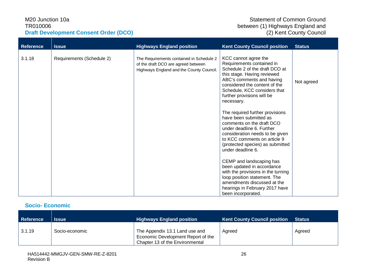#### M20 Junction 10a TR010006 **Draft Development Consent Order (DCO)**

| <b>Reference</b> | <b>Issue</b>              | <b>Highways England position</b>                                                                                            | <b>Kent County Council position</b>                                                                                                                                                                                                                          | <b>Status</b> |
|------------------|---------------------------|-----------------------------------------------------------------------------------------------------------------------------|--------------------------------------------------------------------------------------------------------------------------------------------------------------------------------------------------------------------------------------------------------------|---------------|
| 3.1.18           | Requirements (Schedule 2) | The Requirements contained in Schedule 2<br>of the draft DCO are agreed between<br>Highways England and the County Council. | KCC cannot agree the<br>Requirements contained in<br>Schedule 2 of the draft DCO at<br>this stage. Having reviewed<br>ABC's comments and having<br>considered the content of the<br>Schedule, KCC considers that<br>further provisions will be<br>necessary. | Not agreed    |
|                  |                           |                                                                                                                             | The required further provisions<br>have been submitted as<br>comments on the draft DCO<br>under deadline 6. Further<br>consideration needs to be given<br>to KCC comments on article 9<br>(protected species) as submitted<br>under deadline 6.              |               |
|                  |                           |                                                                                                                             | CEMP and landscaping has<br>been updated in accordance<br>with the provisions in the turning<br>loop position statement. The<br>amendments discussed at the<br>hearings in February 2017 have<br>been incorporated.                                          |               |

#### **Socio- Economic**

| <b>Reference</b> | <b>Issue</b>   | <b>Highways England position</b>                                                                        | <b>Kent County Council position</b> | ∣ Status <b>∖</b> |
|------------------|----------------|---------------------------------------------------------------------------------------------------------|-------------------------------------|-------------------|
| 3.1.19           | Socio-economic | The Appendix 13.1 Land use and<br>Economic Development Report of the<br>Chapter 13 of the Environmental | Agreed                              | Agreed            |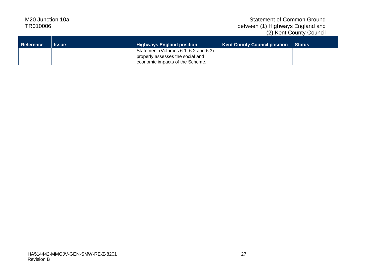| <b>Reference</b> | Issue | <b>Highways England position</b>     | <b>Kent County Council position</b> | <b>Status</b> |
|------------------|-------|--------------------------------------|-------------------------------------|---------------|
|                  |       | Statement (Volumes 6.1, 6.2 and 6.3) |                                     |               |
|                  |       | properly assesses the social and     |                                     |               |
|                  |       | economic impacts of the Scheme.      |                                     |               |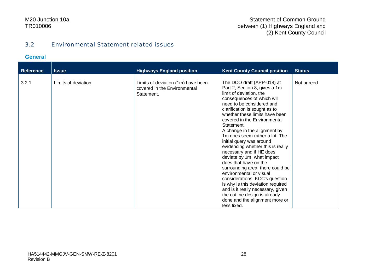#### Statement of Common Ground between (1) Highways England and (2) Kent County Council

#### 3.2 Environmental Statement related issues

#### **General**

| <b>Reference</b> | <b>Issue</b>        | <b>Highways England position</b>                                                 | <b>Kent County Council position</b>                                                                                                                                                                                                                                                                                                                                                                                                                                                                                                                                                                                                                                                                                                                   | <b>Status</b> |
|------------------|---------------------|----------------------------------------------------------------------------------|-------------------------------------------------------------------------------------------------------------------------------------------------------------------------------------------------------------------------------------------------------------------------------------------------------------------------------------------------------------------------------------------------------------------------------------------------------------------------------------------------------------------------------------------------------------------------------------------------------------------------------------------------------------------------------------------------------------------------------------------------------|---------------|
| 3.2.1            | Limits of deviation | Limits of deviation (1m) have been<br>covered in the Environmental<br>Statement. | The DCO draft (APP-018) at<br>Part 2, Section 8, gives a 1m<br>limit of deviation, the<br>consequences of which will<br>need to be considered and<br>clarification is sought as to<br>whether these limits have been<br>covered in the Environmental<br>Statement.<br>A change in the alignment by<br>1m does seem rather a lot. The<br>initial query was around<br>evidencing whether this is really<br>necessary and if HE does<br>deviate by 1m, what impact<br>does that have on the<br>surrounding area; there could be<br>environmental or visual<br>considerations. KCC's question<br>is why is this deviation required<br>and is it really necessary, given<br>the outline design is already<br>done and the alignment more or<br>less fixed. | Not agreed    |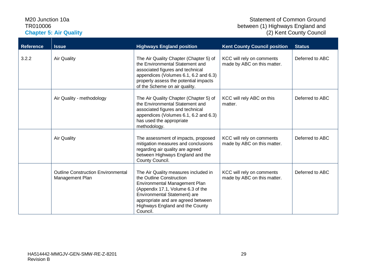#### M20 Junction 10a TR010006 **Chapter 5: Air Quality**

| <b>Reference</b> | <b>Issue</b>                                                 | <b>Highways England position</b>                                                                                                                                                                                                                            | <b>Kent County Council position</b>                      | <b>Status</b>   |
|------------------|--------------------------------------------------------------|-------------------------------------------------------------------------------------------------------------------------------------------------------------------------------------------------------------------------------------------------------------|----------------------------------------------------------|-----------------|
| 3.2.2            | <b>Air Quality</b>                                           | The Air Quality Chapter (Chapter 5) of<br>the Environmental Statement and<br>associated figures and technical<br>appendices (Volumes 6.1, 6.2 and 6.3)<br>properly assess the potential impacts<br>of the Scheme on air quality.                            | KCC will rely on comments<br>made by ABC on this matter. | Deferred to ABC |
|                  | Air Quality - methodology                                    | The Air Quality Chapter (Chapter 5) of<br>the Environmental Statement and<br>associated figures and technical<br>appendices (Volumes 6.1, 6.2 and 6.3)<br>has used the appropriate<br>methodology.                                                          | KCC will rely ABC on this<br>matter.                     | Deferred to ABC |
|                  | <b>Air Quality</b>                                           | The assessment of impacts, proposed<br>mitigation measures and conclusions<br>regarding air quality are agreed<br>between Highways England and the<br>County Council.                                                                                       | KCC will rely on comments<br>made by ABC on this matter. | Deferred to ABC |
|                  | <b>Outline Construction Environmental</b><br>Management Plan | The Air Quality measures included in<br>the Outline Construction<br>Environmental Management Plan<br>(Appendix 17.1, Volume 6.3 of the<br>Environmental Statement) are<br>appropriate and are agreed between<br>Highways England and the County<br>Council. | KCC will rely on comments<br>made by ABC on this matter. | Deferred to ABC |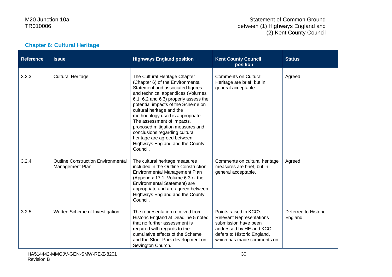#### Statement of Common Ground between (1) Highways England and (2) Kent County Council

### **Chapter 6: Cultural Heritage**

| <b>Reference</b> | <b>Issue</b>                                                 | <b>Highways England position</b>                                                                                                                                                                                                                                                                                                                                                                                                                                             | <b>Kent County Council</b><br>position                                                                                                                                    | <b>Status</b>                   |
|------------------|--------------------------------------------------------------|------------------------------------------------------------------------------------------------------------------------------------------------------------------------------------------------------------------------------------------------------------------------------------------------------------------------------------------------------------------------------------------------------------------------------------------------------------------------------|---------------------------------------------------------------------------------------------------------------------------------------------------------------------------|---------------------------------|
| 3.2.3            | <b>Cultural Heritage</b>                                     | The Cultural Heritage Chapter<br>(Chapter 6) of the Environmental<br>Statement and associated figures<br>and technical appendices (Volumes<br>6.1, 6.2 and 6.3) properly assess the<br>potential impacts of the Scheme on<br>cultural heritage and the<br>methodology used is appropriate.<br>The assessment of impacts,<br>proposed mitigation measures and<br>conclusions regarding cultural<br>heritage are agreed between<br>Highways England and the County<br>Council. | <b>Comments on Cultural</b><br>Heritage are brief, but in<br>general acceptable.                                                                                          | Agreed                          |
| 3.2.4            | <b>Outline Construction Environmental</b><br>Management Plan | The cultural heritage measures<br>included in the Outline Construction<br>Environmental Management Plan<br>(Appendix 17.1, Volume 6.3 of the<br>Environmental Statement) are<br>appropriate and are agreed between<br>Highways England and the County<br>Council.                                                                                                                                                                                                            | Comments on cultural heritage<br>measures are brief, but in<br>general acceptable.                                                                                        | Agreed                          |
| 3.2.5            | Written Scheme of Investigation                              | The representation received from<br>Historic England at Deadline 5 noted<br>that no further assessment is<br>required with regards to the<br>cumulative effects of the Scheme<br>and the Stour Park development on<br>Sevington Church.                                                                                                                                                                                                                                      | Points raised in KCC's<br><b>Relevant Representations</b><br>submission have been<br>addressed by HE and KCC<br>defers to Historic England,<br>which has made comments on | Deferred to Historic<br>England |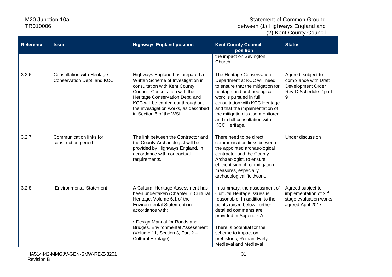| <b>Reference</b> | <b>Issue</b>                                                    | <b>Highways England position</b>                                                                                                                                                                                                                                                             | <b>Kent County Council</b><br>position                                                                                                                                                                                                                                                                            | <b>Status</b>                                                                                         |
|------------------|-----------------------------------------------------------------|----------------------------------------------------------------------------------------------------------------------------------------------------------------------------------------------------------------------------------------------------------------------------------------------|-------------------------------------------------------------------------------------------------------------------------------------------------------------------------------------------------------------------------------------------------------------------------------------------------------------------|-------------------------------------------------------------------------------------------------------|
|                  |                                                                 |                                                                                                                                                                                                                                                                                              | the impact on Sevington<br>Church.                                                                                                                                                                                                                                                                                |                                                                                                       |
| 3.2.6            | <b>Consultation with Heritage</b><br>Conservation Dept. and KCC | Highways England has prepared a<br>Written Scheme of Investigation in<br>consultation with Kent County<br>Council. Consultation with the<br>Heritage Conservation Dept. and<br>KCC will be carried out throughout<br>the investigation works, as described<br>in Section 5 of the WSI.       | The Heritage Conservation<br>Department at KCC will need<br>to ensure that the mitigation for<br>heritage and archaeological<br>work is pursued in full<br>consultation with KCC Heritage<br>and that the implementation of<br>the mitigation is also monitored<br>and in full consultation with<br>KCC Heritage. | Agreed, subject to<br>compliance with Draft<br>Development Order<br>Rev D Schedule 2 part<br>9        |
| 3.2.7            | Communication links for<br>construction period                  | The link between the Contractor and<br>the County Archaeologist will be<br>provided by Highways England, in<br>accordance with contractual<br>requirements.                                                                                                                                  | There need to be direct<br>communication links between<br>the appointed archaeological<br>contractor and the County<br>Archaeologist, to ensure<br>efficient sign off of mitigation<br>measures, especially<br>archaeological fieldwork.                                                                          | Under discussion                                                                                      |
| 3.2.8            | <b>Environmental Statement</b>                                  | A Cultural Heritage Assessment has<br>been undertaken (Chapter 6; Cultural<br>Heritage, Volume 6.1 of the<br>Environmental Statement) in<br>accordance with:<br>• Design Manual for Roads and<br>Bridges, Environmental Assessment<br>(Volume 11, Section 3, Part 2 -<br>Cultural Heritage). | In summary, the assessment of<br>Cultural Heritage issues is<br>reasonable. In addition to the<br>points raised below, further<br>detailed comments are<br>provided in Appendix A.<br>There is potential for the<br>scheme to impact on<br>prehistoric, Roman, Early<br>Medieval and Medieval                     | Agreed subject to<br>implementation of 2 <sup>nd</sup><br>stage evaluation works<br>agreed April 2017 |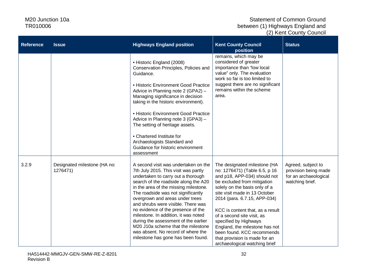| <b>Reference</b> | <b>Issue</b>                             | <b>Highways England position</b>                                                                                                                                                                                                                                                                                                                                                                                                                                                                                                                           | <b>Kent County Council</b><br>position                                                                                                                                                                                                                                                                                                                                                                                                                      | <b>Status</b>                                                                          |
|------------------|------------------------------------------|------------------------------------------------------------------------------------------------------------------------------------------------------------------------------------------------------------------------------------------------------------------------------------------------------------------------------------------------------------------------------------------------------------------------------------------------------------------------------------------------------------------------------------------------------------|-------------------------------------------------------------------------------------------------------------------------------------------------------------------------------------------------------------------------------------------------------------------------------------------------------------------------------------------------------------------------------------------------------------------------------------------------------------|----------------------------------------------------------------------------------------|
|                  |                                          | • Historic England (2008)<br>Conservation Principles, Policies and<br>Guidance.<br>• Historic Environment Good Practice<br>Advice in Planning note 2 (GPA2) -<br>Managing significance in decision<br>taking in the historic environment).<br>• Historic Environment Good Practice<br>Advice in Planning note 3 (GPA3) -<br>The setting of heritage assets.<br>• Chartered Institute for<br>Archaeologists Standard and<br>Guidance for historic environment<br>assessment                                                                                 | remains, which may be<br>considered of greater<br>importance than "low local<br>value" only. The evaluation<br>work so far is too limited to<br>suggest there are no significant<br>remains within the scheme<br>area.                                                                                                                                                                                                                                      |                                                                                        |
| 3.2.9            | Designated milestone (HA no:<br>1276471) | A second visit was undertaken on the<br>7th July 2015. This visit was partly<br>undertaken to carry out a thorough<br>search of the roadside along the A20<br>in the area of the missing milestone.<br>The roadside was not significantly<br>overgrown and areas under trees<br>and shrubs were visible. There was<br>no evidence of the presence of the<br>milestone. In addition, it was noted<br>during the assessment of the earlier<br>M20 J10a scheme that the milestone<br>was absent. No record of where the<br>milestone has gone has been found. | The designated milestone (HA<br>no: 1276471) (Table 6.5, p 16<br>and p18, APP-034) should not<br>be excluded from mitigation<br>solely on the basis only of a<br>site visit made in 13 October<br>2014 (para. 6.7.15, APP-034)<br>KCC is content that, as a result<br>of a second site visit, as<br>specified by Highways<br>England, the milestone has not<br>been found. KCC recommends<br>that provision is made for an<br>archaeological watching brief | Agreed, subject to<br>provision being made<br>for an archaeological<br>watching brief. |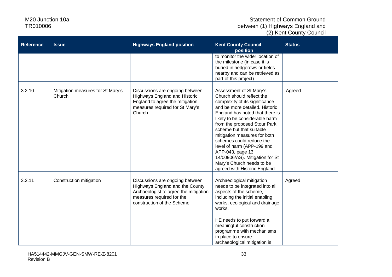| <b>Reference</b> | <b>Issue</b>                                | <b>Highways England position</b>                                                                                                                                        | <b>Kent County Council</b><br>position                                                                                                                                                                                                                                                                                                                                                                                                                                    | <b>Status</b> |
|------------------|---------------------------------------------|-------------------------------------------------------------------------------------------------------------------------------------------------------------------------|---------------------------------------------------------------------------------------------------------------------------------------------------------------------------------------------------------------------------------------------------------------------------------------------------------------------------------------------------------------------------------------------------------------------------------------------------------------------------|---------------|
|                  |                                             |                                                                                                                                                                         | to monitor the wider location of<br>the milestone (in case it is<br>buried in hedgerows or fields<br>nearby and can be retrieved as<br>part of this project).                                                                                                                                                                                                                                                                                                             |               |
| 3.2.10           | Mitigation measures for St Mary's<br>Church | Discussions are ongoing between<br><b>Highways England and Historic</b><br>England to agree the mitigation<br>measures required for St Mary's<br>Church.                | Assessment of St Mary's<br>Church should reflect the<br>complexity of its significance<br>and be more detailed. Historic<br>England has noted that there is<br>likely to be considerable harm<br>from the proposed Stour Park<br>scheme but that suitable<br>mitigation measures for both<br>schemes could reduce the<br>level of harm (APP-199 and<br>APP-043, page 13,<br>14/00906/AS). Mitigation for St<br>Mary's Church needs to be<br>agreed with Historic England. | Agreed        |
| 3.2.11           | Construction mitigation                     | Discussions are ongoing between<br>Highways England and the County<br>Archaeologist to agree the mitigation<br>measures required for the<br>construction of the Scheme. | Archaeological mitigation<br>needs to be integrated into all<br>aspects of the scheme,<br>including the initial enabling<br>works, ecological and drainage<br>works.<br>HE needs to put forward a<br>meaningful construction<br>programme with mechanisms<br>in place to ensure<br>archaeological mitigation is                                                                                                                                                           | Agreed        |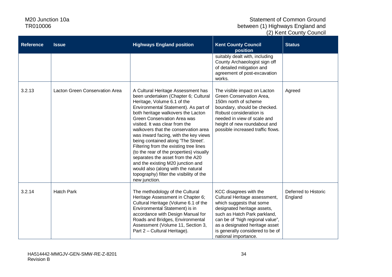| <b>Reference</b> | <b>Issue</b>                   | <b>Highways England position</b>                                                                                                                                                                                                                                                                                                                                                                                                                                                                                                                                                                                                                   | <b>Kent County Council</b><br>position                                                                                                                                                                                                                                               | <b>Status</b>                   |
|------------------|--------------------------------|----------------------------------------------------------------------------------------------------------------------------------------------------------------------------------------------------------------------------------------------------------------------------------------------------------------------------------------------------------------------------------------------------------------------------------------------------------------------------------------------------------------------------------------------------------------------------------------------------------------------------------------------------|--------------------------------------------------------------------------------------------------------------------------------------------------------------------------------------------------------------------------------------------------------------------------------------|---------------------------------|
|                  |                                |                                                                                                                                                                                                                                                                                                                                                                                                                                                                                                                                                                                                                                                    | suitably dealt with, including<br>County Archaeologist sign off<br>of detailed mitigation and<br>agreement of post-excavation<br>works.                                                                                                                                              |                                 |
| 3.2.13           | Lacton Green Conservation Area | A Cultural Heritage Assessment has<br>been undertaken (Chapter 6; Cultural<br>Heritage, Volume 6.1 of the<br>Environmental Statement). As part of<br>both heritage walkovers the Lacton<br>Green Conservation Area was<br>visited. It was clear from the<br>walkovers that the conservation area<br>was inward facing, with the key views<br>being contained along 'The Street'.<br>Filtering from the existing tree lines<br>(to the rear of the properties) visually<br>separates the asset from the A20<br>and the existing M20 junction and<br>would also (along with the natural<br>topography) filter the visibility of the<br>new junction. | The visible impact on Lacton<br>Green Conservation Area,<br>150m north of scheme<br>boundary, should be checked.<br>Robust consideration is<br>needed in view of scale and<br>height of new roundabout and<br>possible increased traffic flows.                                      | Agreed                          |
| 3.2.14           | <b>Hatch Park</b>              | The methodology of the Cultural<br>Heritage Assessment in Chapter 6;<br>Cultural Heritage (Volume 6.1 of the<br>Environmental Statement) is in<br>accordance with Design Manual for<br>Roads and Bridges, Environmental<br>Assessment (Volume 11, Section 3,<br>Part 2 - Cultural Heritage).                                                                                                                                                                                                                                                                                                                                                       | KCC disagrees with the<br>Cultural Heritage assessment,<br>which suggests that some<br>designated heritage assets,<br>such as Hatch Park parkland,<br>can be of "high regional value",<br>as a designated heritage asset<br>is generally considered to be of<br>national importance. | Deferred to Historic<br>England |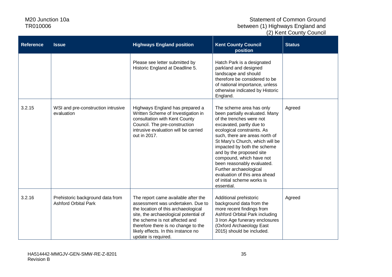| <b>Reference</b> | <b>Issue</b>                                                    | <b>Highways England position</b>                                                                                                                                                                                                                                                                | <b>Kent County Council</b><br>position                                                                                                                                                                                                                                                                                                                                                                                                            | <b>Status</b> |
|------------------|-----------------------------------------------------------------|-------------------------------------------------------------------------------------------------------------------------------------------------------------------------------------------------------------------------------------------------------------------------------------------------|---------------------------------------------------------------------------------------------------------------------------------------------------------------------------------------------------------------------------------------------------------------------------------------------------------------------------------------------------------------------------------------------------------------------------------------------------|---------------|
|                  |                                                                 | Please see letter submitted by<br>Historic England at Deadline 5.                                                                                                                                                                                                                               | Hatch Park is a designated<br>parkland and designed<br>landscape and should<br>therefore be considered to be<br>of national importance, unless<br>otherwise indicated by Historic<br>England.                                                                                                                                                                                                                                                     |               |
| 3.2.15           | WSI and pre-construction intrusive<br>evaluation                | Highways England has prepared a<br>Written Scheme of Investigation in<br>consultation with Kent County<br>Council. The pre-construction<br>intrusive evaluation will be carried<br>out in 2017.                                                                                                 | The scheme area has only<br>been partially evaluated. Many<br>of the trenches were not<br>excavated, partly due to<br>ecological constraints. As<br>such, there are areas north of<br>St Mary's Church, which will be<br>impacted by both the scheme<br>and by the proposed site<br>compound, which have not<br>been reasonably evaluated.<br>Further archaeological<br>evaluation of this area ahead<br>of initial scheme works is<br>essential. | Agreed        |
| 3.2.16           | Prehistoric background data from<br><b>Ashford Orbital Park</b> | The report came available after the<br>assessment was undertaken. Due to<br>the location of this archaeological<br>site, the archaeological potential of<br>the scheme is not affected and<br>therefore there is no change to the<br>likely effects. In this instance no<br>update is required. | Additional prehistoric<br>background data from the<br>more recent findings from<br>Ashford Orbital Park including<br>3 Iron Age funerary enclosures<br>(Oxford Archaeology East<br>2015) should be included.                                                                                                                                                                                                                                      | Agreed        |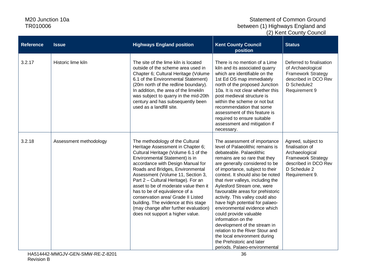| <b>Reference</b> | <b>Issue</b>           | <b>Highways England position</b>                                                                                                                                                                                                                                                                                                                                                                                                                                                                                                         | <b>Kent County Council</b><br>position                                                                                                                                                                                                                                                                                                                                                                                                                                                                                                                                                                                                                                | <b>Status</b>                                                                                                                                  |
|------------------|------------------------|------------------------------------------------------------------------------------------------------------------------------------------------------------------------------------------------------------------------------------------------------------------------------------------------------------------------------------------------------------------------------------------------------------------------------------------------------------------------------------------------------------------------------------------|-----------------------------------------------------------------------------------------------------------------------------------------------------------------------------------------------------------------------------------------------------------------------------------------------------------------------------------------------------------------------------------------------------------------------------------------------------------------------------------------------------------------------------------------------------------------------------------------------------------------------------------------------------------------------|------------------------------------------------------------------------------------------------------------------------------------------------|
| 3.2.17           | Historic lime kiln     | The site of the lime kiln is located<br>outside of the scheme area used in<br>Chapter 6; Cultural Heritage (Volume<br>6.1 of the Environmental Statement)<br>(20m north of the redline boundary).<br>In addition, the area of the limekiln<br>was subject to quarry in the mid-20th<br>century and has subsequently been<br>used as a landfill site.                                                                                                                                                                                     | There is no mention of a Lime<br>kiln and its associated quarry<br>which are identifiable on the<br>1st Ed OS map immediately<br>north of the proposed Junction<br>10a. It is not clear whether this<br>post medieval structure is<br>within the scheme or not but<br>recommendation that some<br>assessment of this feature is<br>required to ensure suitable<br>assessment and mitigation if<br>necessary.                                                                                                                                                                                                                                                          | Deferred to finalisation<br>of Archaeological<br><b>Framework Strategy</b><br>described in DCO Rev<br>D Schedule2<br>Requirement 9             |
| 3.2.18           | Assessment methodology | The methodology of the Cultural<br>Heritage Assessment in Chapter 6;<br>Cultural Heritage (Volume 6.1 of the<br>Environmental Statement) is in<br>accordance with Design Manual for<br>Roads and Bridges, Environmental<br>Assessment (Volume 11, Section 3,<br>Part 2 - Cultural Heritage). For an<br>asset to be of moderate value then it<br>has to be of equivalence of a<br>conservation area/ Grade II Listed<br>building. The evidence at this stage<br>(may change after further evaluation)<br>does not support a higher value. | The assessment of importance<br>level of Palaeolithic remains is<br>debateable. Palaeolithic<br>remains are so rare that they<br>are generally considered to be<br>of importance, subject to their<br>context. It should also be noted<br>that river valleys, including the<br>Aylesford Stream one, were<br>favourable areas for prehistoric<br>activity. This valley could also<br>have high potential for palaeo-<br>environmental evidence which<br>could provide valuable<br>information on the<br>development of the stream in<br>relation to the River Stour and<br>the local environment during<br>the Prehistoric and later<br>periods. Palaeo-environmental | Agreed, subject to<br>finalisation of<br>Archaeological<br><b>Framework Strategy</b><br>described in DCO Rev<br>D Schedule 2<br>Requirement 9. |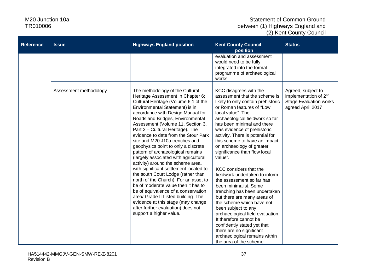| <b>Reference</b> | <b>Issue</b>           | <b>Highways England position</b>                                                                                                                                                                                                                                                                                                                                                                                                                                                                                                                                                                                                                                                                                                                                                                                                                                                          | <b>Kent County Council</b><br>position                                                                                                                                                                                                                                                                                                                                                                                                                                                                                                                                                                                                                                                                                                                                                                                  | <b>Status</b>                                                                                                 |
|------------------|------------------------|-------------------------------------------------------------------------------------------------------------------------------------------------------------------------------------------------------------------------------------------------------------------------------------------------------------------------------------------------------------------------------------------------------------------------------------------------------------------------------------------------------------------------------------------------------------------------------------------------------------------------------------------------------------------------------------------------------------------------------------------------------------------------------------------------------------------------------------------------------------------------------------------|-------------------------------------------------------------------------------------------------------------------------------------------------------------------------------------------------------------------------------------------------------------------------------------------------------------------------------------------------------------------------------------------------------------------------------------------------------------------------------------------------------------------------------------------------------------------------------------------------------------------------------------------------------------------------------------------------------------------------------------------------------------------------------------------------------------------------|---------------------------------------------------------------------------------------------------------------|
|                  |                        |                                                                                                                                                                                                                                                                                                                                                                                                                                                                                                                                                                                                                                                                                                                                                                                                                                                                                           | evaluation and assessment<br>would need to be fully<br>integrated into the formal<br>programme of archaeological<br>works.                                                                                                                                                                                                                                                                                                                                                                                                                                                                                                                                                                                                                                                                                              |                                                                                                               |
|                  | Assessment methodology | The methodology of the Cultural<br>Heritage Assessment in Chapter 6;<br>Cultural Heritage (Volume 6.1 of the<br>Environmental Statement) is in<br>accordance with Design Manual for<br>Roads and Bridges, Environmental<br>Assessment (Volume 11, Section 3,<br>Part 2 - Cultural Heritage). The<br>evidence to date from the Stour Park<br>site and M20 J10a trenches and<br>geophysics point to only a discrete<br>pattern of archaeological remains<br>(largely associated with agricultural<br>activity) around the scheme area,<br>with significant settlement located to<br>the south Court Lodge (rather than<br>north of the Church). For an asset to<br>be of moderate value then it has to<br>be of equivalence of a conservation<br>area/ Grade II Listed building. The<br>evidence at this stage (may change<br>after further evaluation) does not<br>support a higher value. | KCC disagrees with the<br>assessment that the scheme is<br>likely to only contain prehistoric<br>or Roman features of "Low<br>local value". The<br>archaeological fieldwork so far<br>has been minimal and there<br>was evidence of prehistoric<br>activity. There is potential for<br>this scheme to have an impact<br>on archaeology of greater<br>significance than "low local<br>value".<br>KCC considers that the<br>fieldwork undertaken to inform<br>the assessment so far has<br>been minimalist. Some<br>trenching has been undertaken<br>but there are many areas of<br>the scheme which have not<br>been subject to any<br>archaeological field evaluation.<br>It therefore cannot be<br>confidently stated yet that<br>there are no significant<br>archaeological remains within<br>the area of the scheme. | Agreed, subject to<br>implementation of 2 <sup>nd</sup><br><b>Stage Evaluation works</b><br>agreed April 2017 |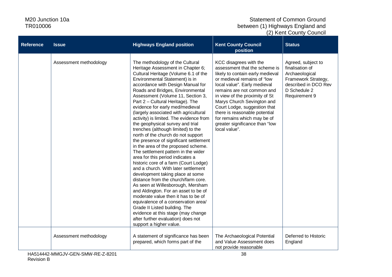| <b>Reference</b> | <b>Issue</b>           | <b>Highways England position</b>                                                                                                                                                                                                                                                                                                                                                                                                                                                                                                                                                                                                                                                                                                                                                                                                                                                                                                                                                                                                                                                                                                                                  | <b>Kent County Council</b><br>position                                                                                                                                                                                                                                                                                                                                                                      | <b>Status</b>                                                                                                                           |
|------------------|------------------------|-------------------------------------------------------------------------------------------------------------------------------------------------------------------------------------------------------------------------------------------------------------------------------------------------------------------------------------------------------------------------------------------------------------------------------------------------------------------------------------------------------------------------------------------------------------------------------------------------------------------------------------------------------------------------------------------------------------------------------------------------------------------------------------------------------------------------------------------------------------------------------------------------------------------------------------------------------------------------------------------------------------------------------------------------------------------------------------------------------------------------------------------------------------------|-------------------------------------------------------------------------------------------------------------------------------------------------------------------------------------------------------------------------------------------------------------------------------------------------------------------------------------------------------------------------------------------------------------|-----------------------------------------------------------------------------------------------------------------------------------------|
|                  | Assessment methodology | The methodology of the Cultural<br>Heritage Assessment in Chapter 6;<br>Cultural Heritage (Volume 6.1 of the<br>Environmental Statement) is in<br>accordance with Design Manual for<br>Roads and Bridges, Environmental<br>Assessment (Volume 11, Section 3,<br>Part 2 - Cultural Heritage). The<br>evidence for early med/medieval<br>(largely associated with agricultural<br>activity) is limited. The evidence from<br>the geophysical survey and trial<br>trenches (although limited) to the<br>north of the church do not support<br>the presence of significant settlement<br>in the area of the proposed scheme.<br>The settlement pattern in the wider<br>area for this period indicates a<br>historic core of a farm (Court Lodge)<br>and a church. With later settlement<br>development taking place at some<br>distance from the church/farm core.<br>As seen at Willesborough, Mersham<br>and Aldington. For an asset to be of<br>moderate value then it has to be of<br>equivalence of a conservation area/<br>Grade II Listed building. The<br>evidence at this stage (may change<br>after further evaluation) does not<br>support a higher value. | KCC disagrees with the<br>assessment that the scheme is<br>likely to contain early medieval<br>or medieval remains of "low<br>local value". Early medieval<br>remains are not common and<br>in view of the proximity of St<br>Marys Church Sevington and<br>Court Lodge, suggestion that<br>there is reasonable potential<br>for remains which may be of<br>greater significance than "low<br>local value". | Agreed, subject to<br>finalisation of<br>Archaeological<br>Framework Strategy,<br>described in DCO Rev<br>D Schedule 2<br>Requirement 9 |
|                  | Assessment methodology | A statement of significance has been<br>prepared, which forms part of the                                                                                                                                                                                                                                                                                                                                                                                                                                                                                                                                                                                                                                                                                                                                                                                                                                                                                                                                                                                                                                                                                         | The Archaeological Potential<br>and Value Assessment does<br>not provide reasonable                                                                                                                                                                                                                                                                                                                         | Deferred to Historic<br>England                                                                                                         |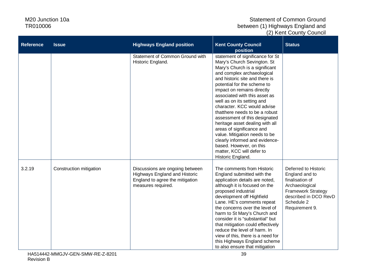| <b>Reference</b> | <b>Issue</b>            | <b>Highways England position</b>                                                                                          | <b>Kent County Council</b><br>position                                                                                                                                                                                                                                                                                                                                                                                                                                                                                                                                                                          | <b>Status</b>                                                                                                                                                     |
|------------------|-------------------------|---------------------------------------------------------------------------------------------------------------------------|-----------------------------------------------------------------------------------------------------------------------------------------------------------------------------------------------------------------------------------------------------------------------------------------------------------------------------------------------------------------------------------------------------------------------------------------------------------------------------------------------------------------------------------------------------------------------------------------------------------------|-------------------------------------------------------------------------------------------------------------------------------------------------------------------|
|                  |                         | Statement of Common Ground with<br>Historic England.                                                                      | statement of significance for St<br>Mary's Church Sevington. St<br>Mary's Church is a significant<br>and complex archaeological<br>and historic site and there is<br>potential for the scheme to<br>impact on remains directly<br>associated with this asset as<br>well as on its setting and<br>character. KCC would advise<br>thatthere needs to be a robust<br>assessment of this designated<br>heritage asset dealing with all<br>areas of significance and<br>value. Mitigation needs to be<br>clearly informed and evidence-<br>based. However, on this<br>matter, KCC will defer to<br>Historic England. |                                                                                                                                                                   |
| 3.2.19           | Construction mitigation | Discussions are ongoing between<br>Highways England and Historic<br>England to agree the mitigation<br>measures required. | The comments from Historic<br>England submitted with the<br>application details are noted,<br>although it is focused on the<br>proposed industrial<br>development off Highfield<br>Lane. HE's comments repeat<br>the concerns over the level of<br>harm to St Mary's Church and<br>consider it is "substantial" but<br>that mitigation could effectively<br>reduce the level of harm. In<br>view of this, there is a need for<br>this Highways England scheme<br>to also ensure that mitigation                                                                                                                 | Deferred to Historic<br>England and to<br>finalisation of<br>Archaeological<br><b>Framework Strategy</b><br>described in DCO RevD<br>Schedule 2<br>Requirement 9. |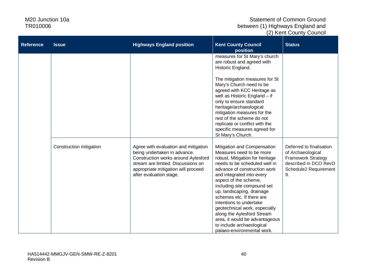| <b>Reference</b> | <b>Issue</b>            | <b>Highways England position</b>                                                                                                                                                                                    | <b>Kent County Council</b><br>position                                                                                                                                                                                                                                                                                                                                                                                                                                                            | <b>Status</b>                                                                                                                      |
|------------------|-------------------------|---------------------------------------------------------------------------------------------------------------------------------------------------------------------------------------------------------------------|---------------------------------------------------------------------------------------------------------------------------------------------------------------------------------------------------------------------------------------------------------------------------------------------------------------------------------------------------------------------------------------------------------------------------------------------------------------------------------------------------|------------------------------------------------------------------------------------------------------------------------------------|
|                  |                         |                                                                                                                                                                                                                     | measures for St Mary's church<br>are robust and agreed with<br>Historic England.<br>The mitigation measures for St<br>Mary's Church need to be<br>agreed with KCC Heritage as<br>well as Historic England $-$ if                                                                                                                                                                                                                                                                                  |                                                                                                                                    |
|                  |                         |                                                                                                                                                                                                                     | only to ensure standard<br>heritage/archaeological<br>mitigation measures for the<br>rest of the scheme do not<br>replicate or conflict with the<br>specific measures agreed for<br>St Mary's Church.                                                                                                                                                                                                                                                                                             |                                                                                                                                    |
|                  | Construction mitigation | Agree with evaluation and mitigation<br>being undertaken in advance.<br>Construction works around Aylesford<br>stream are limited. Discussions on<br>appropriate mitigation will proceed<br>after evaluation stage. | Mitigation and Compensation<br>Measures need to be more<br>robust. Mitigation for heritage<br>needs to be scheduled well in<br>advance of construction work<br>and integrated into every<br>aspect of the scheme,<br>including site compound set<br>up, landscaping, drainage<br>schemes etc. If there are<br>intentions to undertake<br>geotechnical work, especially<br>along the Aylesford Stream<br>area, it would be advantageous<br>to include archaeological<br>palaeo-environmental work. | Deferred to finalisation<br>of Archaeological<br><b>Framework Strategy</b><br>described in DCO RevD<br>Schedule2 Requirement<br>9. |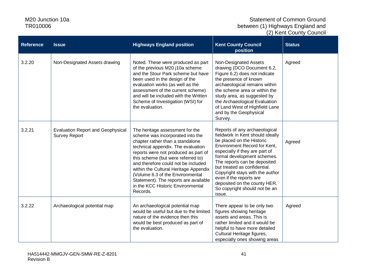| <b>Reference</b> | <b>Issue</b>                                                     | <b>Highways England position</b>                                                                                                                                                                                                                                                                                                                                                                                                          | <b>Kent County Council</b><br>position                                                                                                                                                                                                                                                                                                                                                                   | <b>Status</b> |
|------------------|------------------------------------------------------------------|-------------------------------------------------------------------------------------------------------------------------------------------------------------------------------------------------------------------------------------------------------------------------------------------------------------------------------------------------------------------------------------------------------------------------------------------|----------------------------------------------------------------------------------------------------------------------------------------------------------------------------------------------------------------------------------------------------------------------------------------------------------------------------------------------------------------------------------------------------------|---------------|
| 3.2.20           | Non-Designated Assets drawing                                    | Noted. These were produced as part<br>of the previous M20 j10a scheme<br>and the Stour Park scheme but have<br>been used in the design of the<br>evaluation works (as well as the<br>assessment of the current scheme)<br>and will be included with the Written<br>Scheme of Investigation (WSI) for<br>the evaluation.                                                                                                                   | Non-Designated Assets<br>drawing (DCO Document 6.2,<br>Figure 6.2) does not indicate<br>the presence of known<br>archaeological remains within<br>the scheme area or within the<br>study area, as suggested by<br>the Archaeological Evaluation<br>of Land West of Highfield Lane<br>and by the Geophysical<br>Survey.                                                                                   | Agreed        |
| 3.2.21           | <b>Evaluation Report and Geophysical</b><br><b>Survey Report</b> | The heritage assessment for the<br>scheme was incorporated into the<br>chapter rather than a standalone<br>technical appendix. The evaluation<br>reports were not produced as part of<br>this scheme (but were referred to)<br>and therefore could not be included<br>within the Cultural Heritage Appendix<br>(Volume 6.3 of the Environmental<br>Statement). The reports are available<br>in the KCC Historic Environmental<br>Records. | Reports of any archaeological<br>fieldwork in Kent should ideally<br>be placed on the Historic<br>Environment Record for Kent,<br>especially if they are part of<br>formal development schemes.<br>The reports can be deposited<br>but treated as confidential.<br>Copyright stays with the author<br>even if the reports are<br>deposited on the county HER.<br>So copyright should not be an<br>issue. | Agreed        |
| 3.2.22           | Archaeological potential map                                     | An archaeological potential map<br>would be useful but due to the limited<br>nature of the evidence then this<br>would be best produced as part of<br>the evaluation.                                                                                                                                                                                                                                                                     | There appear to be only two<br>figures showing heritage<br>assets and areas. This is<br>rather limited and it would be<br>helpful to have more detailed<br>Cultural Heritage figures,<br>especially ones showing areas                                                                                                                                                                                   | Agreed        |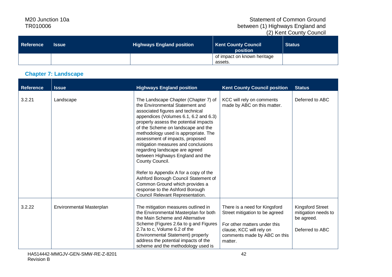#### Statement of Common Ground between (1) Highways England and (2) Kent County Council

| Reference | <b>Issue</b> | <b>Highways England position</b> | <b>Kent County Council</b><br>position | <b>Status</b> |
|-----------|--------------|----------------------------------|----------------------------------------|---------------|
|           |              |                                  | of impact on known heritage<br>assets. |               |

#### **Chapter 7: Landscape**

| <b>Reference</b> | <b>Issue</b>             | <b>Highways England position</b>                                                                                                                                                                                                                                                                                                                                                                                                                                                                                                                                                                     | <b>Kent County Council position</b>                                                                                                                                    | <b>Status</b>                                                                   |
|------------------|--------------------------|------------------------------------------------------------------------------------------------------------------------------------------------------------------------------------------------------------------------------------------------------------------------------------------------------------------------------------------------------------------------------------------------------------------------------------------------------------------------------------------------------------------------------------------------------------------------------------------------------|------------------------------------------------------------------------------------------------------------------------------------------------------------------------|---------------------------------------------------------------------------------|
| 3.2.21           | Landscape                | The Landscape Chapter (Chapter 7) of<br>the Environmental Statement and<br>associated figures and technical<br>appendices (Volumes 6.1, 6.2 and 6.3)<br>properly assess the potential impacts<br>of the Scheme on landscape and the<br>methodology used is appropriate. The<br>assessment of impacts, proposed<br>mitigation measures and conclusions<br>regarding landscape are agreed<br>between Highways England and the<br>County Council.<br>Refer to Appendix A for a copy of the<br>Ashford Borough Council Statement of<br>Common Ground which provides a<br>response to the Ashford Borough | KCC will rely on comments<br>made by ABC on this matter.                                                                                                               | Deferred to ABC                                                                 |
| 3.2.22           | Environmental Masterplan | Council Relevant Representation.<br>The mitigation measures outlined in<br>the Environmental Masterplan for both<br>the Main Scheme and Alternative<br>Scheme (Figures 2.6a to g and Figures<br>2.7a to c, Volume 6.2 of the<br>Environmental Statement) properly<br>address the potential impacts of the<br>scheme and the methodology used is                                                                                                                                                                                                                                                      | There is a need for Kingsford<br>Street mitigation to be agreed<br>For other matters under this<br>clause, KCC will rely on<br>comments made by ABC on this<br>matter. | <b>Kingsford Street</b><br>mitigation needs to<br>be agreed.<br>Deferred to ABC |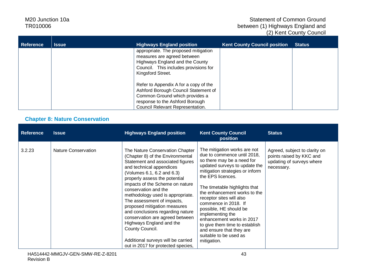#### Statement of Common Ground between (1) Highways England and (2) Kent County Council

| <b>Reference</b> | <b>Issue</b> | <b>Highways England position</b>                                                                                                                                                       | <b>Kent County Council position</b> | <b>Status</b> |
|------------------|--------------|----------------------------------------------------------------------------------------------------------------------------------------------------------------------------------------|-------------------------------------|---------------|
|                  |              | appropriate. The proposed mitigation<br>measures are agreed between<br>Highways England and the County<br>Council. This includes provisions for<br>Kingsford Street.                   |                                     |               |
|                  |              | Refer to Appendix A for a copy of the<br>Ashford Borough Council Statement of<br>Common Ground which provides a<br>response to the Ashford Borough<br>Council Relevant Representation. |                                     |               |

#### **Chapter 8: Nature Conservation**

| <b>Reference</b> | <b>Issue</b>               | <b>Highways England position</b>                                                                                                                                                                                                                                                                                                                                                                                                                                                                                                                                  | <b>Kent County Council</b><br>position                                                                                                                                                                                                                                                                                                                                                                                                                                                    | <b>Status</b>                                                                                        |
|------------------|----------------------------|-------------------------------------------------------------------------------------------------------------------------------------------------------------------------------------------------------------------------------------------------------------------------------------------------------------------------------------------------------------------------------------------------------------------------------------------------------------------------------------------------------------------------------------------------------------------|-------------------------------------------------------------------------------------------------------------------------------------------------------------------------------------------------------------------------------------------------------------------------------------------------------------------------------------------------------------------------------------------------------------------------------------------------------------------------------------------|------------------------------------------------------------------------------------------------------|
| 3.2.23           | <b>Nature Conservation</b> | The Nature Conservation Chapter<br>(Chapter 8) of the Environmental<br>Statement and associated figures<br>and technical appendices<br>(Volumes 6.1, 6.2 and 6.3)<br>properly assess the potential<br>impacts of the Scheme on nature<br>conservation and the<br>methodology used is appropriate.<br>The assessment of impacts,<br>proposed mitigation measures<br>and conclusions regarding nature<br>conservation are agreed between<br>Highways England and the<br>County Council.<br>Additional surveys will be carried<br>out in 2017 for protected species, | The mitigation works are not<br>due to commence until 2018,<br>so there may be a need for<br>updated surveys to update the<br>mitigation strategies or inform<br>the EPS licences.<br>The timetable highlights that<br>the enhancement works to the<br>receptor sites will also<br>commence in 2018. If<br>possible, HE should be<br>implementing the<br>enhancement works in 2017<br>to give them time to establish<br>and ensure that they are<br>suitable to be used as<br>mitigation. | Agreed, subject to clarity on<br>points raised by KKC and<br>updating of surveys where<br>necessary. |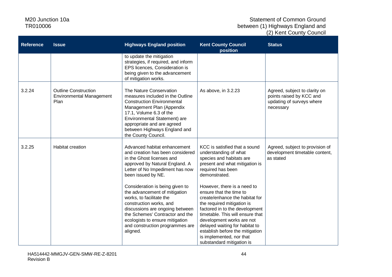| <b>Reference</b> | <b>Issue</b>                                                           | <b>Highways England position</b>                                                                                                                                                                                                                                                | <b>Kent County Council</b><br>position                                                                                                                                                                                                                                                                                                                  | <b>Status</b>                                                                                       |
|------------------|------------------------------------------------------------------------|---------------------------------------------------------------------------------------------------------------------------------------------------------------------------------------------------------------------------------------------------------------------------------|---------------------------------------------------------------------------------------------------------------------------------------------------------------------------------------------------------------------------------------------------------------------------------------------------------------------------------------------------------|-----------------------------------------------------------------------------------------------------|
|                  |                                                                        | to update the mitigation<br>strategies, if required, and inform<br>EPS licences, Consideration is<br>being given to the advancement<br>of mitigation works.                                                                                                                     |                                                                                                                                                                                                                                                                                                                                                         |                                                                                                     |
| 3.2.24           | <b>Outline Construction</b><br><b>Environmental Management</b><br>Plan | The Nature Conservation<br>measures included in the Outline<br><b>Construction Environmental</b><br>Management Plan (Appendix<br>17.1, Volume 6.3 of the<br>Environmental Statement) are<br>appropriate and are agreed<br>between Highways England and<br>the County Council.   | As above, in 3.2.23                                                                                                                                                                                                                                                                                                                                     | Agreed, subject to clarity on<br>points raised by KCC and<br>updating of surveys where<br>necessary |
| 3.2.25           | <b>Habitat creation</b>                                                | Advanced habitat enhancement<br>and creation has been considered<br>in the Ghost licenses and<br>approved by Natural England. A<br>Letter of No Impediment has now<br>been issued by NE.                                                                                        | KCC is satisfied that a sound<br>understanding of what<br>species and habitats are<br>present and what mitigation is<br>required has been<br>demonstrated.                                                                                                                                                                                              | Agreed, subject to provision of<br>development timetable content,<br>as stated                      |
|                  |                                                                        | Consideration is being given to<br>the advancement of mitigation<br>works, to facilitate the<br>construction works, and<br>discussions are ongoing between<br>the Schemes' Contractor and the<br>ecologists to ensure mitigation<br>and construction programmes are<br>aligned. | However, there is a need to<br>ensure that the time to<br>create/enhance the habitat for<br>the required mitigation is<br>factored in to the development<br>timetable. This will ensure that<br>development works are not<br>delayed waiting for habitat to<br>establish before the mitigation<br>is implemented, nor that<br>substandard mitigation is |                                                                                                     |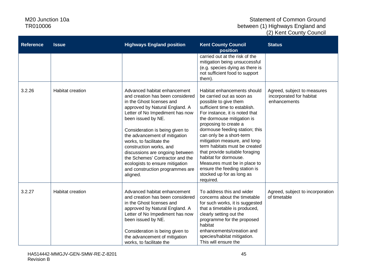| <b>Reference</b> | <b>Issue</b>            | <b>Highways England position</b>                                                                                                                                                                                                                                                                                                                                                                                                                                            | <b>Kent County Council</b><br>position                                                                                                                                                                                                                                                                                                                                                                                                                                                                            | <b>Status</b>                                                           |
|------------------|-------------------------|-----------------------------------------------------------------------------------------------------------------------------------------------------------------------------------------------------------------------------------------------------------------------------------------------------------------------------------------------------------------------------------------------------------------------------------------------------------------------------|-------------------------------------------------------------------------------------------------------------------------------------------------------------------------------------------------------------------------------------------------------------------------------------------------------------------------------------------------------------------------------------------------------------------------------------------------------------------------------------------------------------------|-------------------------------------------------------------------------|
|                  |                         |                                                                                                                                                                                                                                                                                                                                                                                                                                                                             | carried out at the risk of the<br>mitigation being unsuccessful<br>(e.g. species dying as there is<br>not sufficient food to support<br>them).                                                                                                                                                                                                                                                                                                                                                                    |                                                                         |
| 3.2.26           | Habitat creation        | Advanced habitat enhancement<br>and creation has been considered<br>in the Ghost licenses and<br>approved by Natural England. A<br>Letter of No Impediment has now<br>been issued by NE.<br>Consideration is being given to<br>the advancement of mitigation<br>works, to facilitate the<br>construction works, and<br>discussions are ongoing between<br>the Schemes' Contractor and the<br>ecologists to ensure mitigation<br>and construction programmes are<br>aligned. | Habitat enhancements should<br>be carried out as soon as<br>possible to give them<br>sufficient time to establish.<br>For instance, it is noted that<br>the dormouse mitigation is<br>proposing to create a<br>dormouse feeding station; this<br>can only be a short-term<br>mitigation measure, and long-<br>term habitats must be created<br>that provide suitable foraging<br>habitat for dormouse.<br>Measures must be in place to<br>ensure the feeding station is<br>stocked up for as long as<br>required. | Agreed, subject to measures<br>incorporated for habitat<br>enhancements |
| 3.2.27           | <b>Habitat creation</b> | Advanced habitat enhancement<br>and creation has been considered<br>in the Ghost licenses and<br>approved by Natural England. A<br>Letter of No Impediment has now<br>been issued by NE.<br>Consideration is being given to<br>the advancement of mitigation<br>works, to facilitate the                                                                                                                                                                                    | To address this and wider<br>concerns about the timetable<br>for such works, it is suggested<br>that a timetable is produced,<br>clearly setting out the<br>programme for the proposed<br>habitat<br>enhancements/creation and<br>species/habitat mitigation.<br>This will ensure the                                                                                                                                                                                                                             | Agreed, subject to incorporation<br>of timetable                        |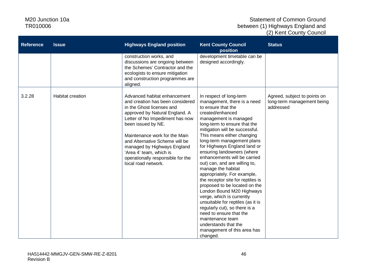| <b>Reference</b> | <b>Issue</b>            | <b>Highways England position</b>                                                                                                                                                                                                                                                                                                                                                  | <b>Kent County Council</b><br>position                                                                                                                                                                                                                                                                                                                                                                                                                                                                                                                                                                                                                                                                                                                              | <b>Status</b>                                                           |
|------------------|-------------------------|-----------------------------------------------------------------------------------------------------------------------------------------------------------------------------------------------------------------------------------------------------------------------------------------------------------------------------------------------------------------------------------|---------------------------------------------------------------------------------------------------------------------------------------------------------------------------------------------------------------------------------------------------------------------------------------------------------------------------------------------------------------------------------------------------------------------------------------------------------------------------------------------------------------------------------------------------------------------------------------------------------------------------------------------------------------------------------------------------------------------------------------------------------------------|-------------------------------------------------------------------------|
|                  |                         | construction works, and<br>discussions are ongoing between<br>the Schemes' Contractor and the<br>ecologists to ensure mitigation<br>and construction programmes are<br>aligned.                                                                                                                                                                                                   | development timetable can be<br>designed accordingly.                                                                                                                                                                                                                                                                                                                                                                                                                                                                                                                                                                                                                                                                                                               |                                                                         |
| 3.2.28           | <b>Habitat creation</b> | Advanced habitat enhancement<br>and creation has been considered<br>in the Ghost licenses and<br>approved by Natural England. A<br>Letter of No Impediment has now<br>been issued by NE.<br>Maintenance work for the Main<br>and Alternative Scheme will be<br>managed by Highways England<br>'Area 4' team, which is<br>operationally responsible for the<br>local road network. | In respect of long-term<br>management, there is a need<br>to ensure that the<br>created/enhanced<br>management is managed<br>long-term to ensure that the<br>mitigation will be successful.<br>This means either changing<br>long-term management plans<br>for Highways England land or<br>ensuring landowners (where<br>enhancements will be carried<br>out) can, and are willing to,<br>manage the habitat<br>appropriately. For example,<br>the receptor site for reptiles is<br>proposed to be located on the<br>London Bound M20 Highways<br>verge, which is currently<br>unsuitable for reptiles (as it is<br>regularly cut), so there is a<br>need to ensure that the<br>maintenance team<br>understands that the<br>management of this area has<br>changed. | Agreed, subject to points on<br>long-term management being<br>addressed |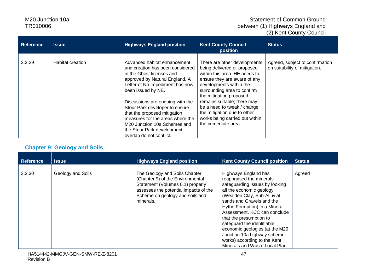#### Statement of Common Ground between (1) Highways England and (2) Kent County Council

| <b>Reference</b> | Issue            | <b>Highways England position</b>                                                                                                                                                                                                                                                                                                                                                                                                         | <b>Kent County Council</b><br><b>position</b>                                                                                                                                                                                                                                                                                                                           | <b>Status</b>                                                    |
|------------------|------------------|------------------------------------------------------------------------------------------------------------------------------------------------------------------------------------------------------------------------------------------------------------------------------------------------------------------------------------------------------------------------------------------------------------------------------------------|-------------------------------------------------------------------------------------------------------------------------------------------------------------------------------------------------------------------------------------------------------------------------------------------------------------------------------------------------------------------------|------------------------------------------------------------------|
| 3.2.29           | Habitat creation | Advanced habitat enhancement<br>and creation has been considered<br>in the Ghost licenses and<br>approved by Natural England. A<br>Letter of No Impediment has now<br>been issued by NE.<br>Discussions are ongoing with the<br>Stour Park developer to ensure<br>that the proposed mitigation<br>measures for the areas where the<br>M <sub>20</sub> Junction 10a Schemes and<br>the Stour Park development<br>overlap do not conflict. | There are other developments<br>being delivered or proposed<br>within this area. HE needs to<br>ensure they are aware of any<br>developments within the<br>surrounding area to confirm<br>the mitigation proposed<br>remains suitable; there may<br>be a need to tweak / change<br>the mitigation due to other<br>works being carried out within<br>the immediate area. | Agreed, subject to confirmation<br>on suitability of mitigation. |

# **Chapter 9: Geology and Soils**

| <b>Reference</b> | <b>Issue</b>      | <b>Highways England position</b>                                                                                                                                                               | <b>Kent County Council position</b>                                                                                                                                                                                                                                                                                                                                                                                                    | <b>Status</b> |
|------------------|-------------------|------------------------------------------------------------------------------------------------------------------------------------------------------------------------------------------------|----------------------------------------------------------------------------------------------------------------------------------------------------------------------------------------------------------------------------------------------------------------------------------------------------------------------------------------------------------------------------------------------------------------------------------------|---------------|
| 3.2.30           | Geology and Soils | The Geology and Soils Chapter<br>(Chapter 9) of the Environmental<br>Statement (Volumes 6.1) properly<br>assesses the potential impacts of the<br>Scheme on geology and soils and<br>minerals. | Highways England has<br>reappraised the minerals<br>safeguarding issues by looking<br>all the economic geology<br>(Wealden Clay, Sub-Alluvial<br>sands and Gravels and the<br>Hythe Formation) in a Mineral<br>Assessment. KCC can conclude<br>that the presumption to<br>safeguard the identifiable<br>economic geologies (at the M20<br>Junction 10a highway scheme<br>works) according to the Kent<br>Minerals and Waste Local Plan | Agreed        |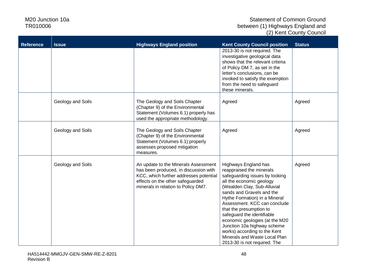| <b>Reference</b> | <b>Issue</b>      | <b>Highways England position</b>                                                | <b>Kent County Council position</b>                               | <b>Status</b> |
|------------------|-------------------|---------------------------------------------------------------------------------|-------------------------------------------------------------------|---------------|
|                  |                   |                                                                                 | 2013-30 is not required. The                                      |               |
|                  |                   |                                                                                 | investigative geological data<br>shows that the relevant criteria |               |
|                  |                   |                                                                                 | of Policy DM 7, as set in the                                     |               |
|                  |                   |                                                                                 | letter's conclusions, can be                                      |               |
|                  |                   |                                                                                 | invoked to satisfy the exemption<br>from the need to safeguard    |               |
|                  |                   |                                                                                 | these minerals.                                                   |               |
|                  |                   |                                                                                 |                                                                   |               |
|                  | Geology and Soils | The Geology and Soils Chapter<br>(Chapter 9) of the Environmental               | Agreed                                                            | Agreed        |
|                  |                   | Statement (Volumes 6.1) properly has                                            |                                                                   |               |
|                  |                   | used the appropriate methodology.                                               |                                                                   |               |
|                  | Geology and Soils | The Geology and Soils Chapter                                                   | Agreed                                                            | Agreed        |
|                  |                   | (Chapter 9) of the Environmental                                                |                                                                   |               |
|                  |                   | Statement (Volumes 6.1) properly                                                |                                                                   |               |
|                  |                   | assesses proposed mitigation<br>measures.                                       |                                                                   |               |
|                  |                   |                                                                                 |                                                                   |               |
|                  | Geology and Soils | An update to the Minerals Assessment                                            | Highways England has                                              | Agreed        |
|                  |                   | has been produced, in discussion with<br>KCC, which further addresses potential | reappraised the minerals<br>safeguarding issues by looking        |               |
|                  |                   | effects on the other safeguarded                                                | all the economic geology                                          |               |
|                  |                   | minerals in relation to Policy DM7.                                             | (Wealden Clay, Sub-Alluvial                                       |               |
|                  |                   |                                                                                 | sands and Gravels and the<br>Hythe Formation) in a Mineral        |               |
|                  |                   |                                                                                 | Assessment. KCC can conclude                                      |               |
|                  |                   |                                                                                 | that the presumption to                                           |               |
|                  |                   |                                                                                 | safeguard the identifiable                                        |               |
|                  |                   |                                                                                 | economic geologies (at the M20<br>Junction 10a highway scheme     |               |
|                  |                   |                                                                                 | works) according to the Kent                                      |               |
|                  |                   |                                                                                 | Minerals and Waste Local Plan                                     |               |
|                  |                   |                                                                                 | 2013-30 is not required. The                                      |               |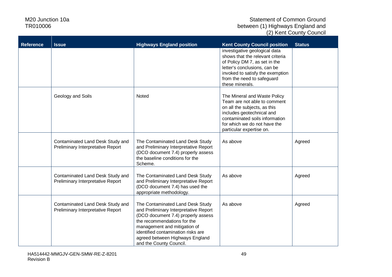| <b>Reference</b> | <b>Issue</b>                      | <b>Highways England position</b>                                            | <b>Kent County Council position</b>                               | <b>Status</b> |
|------------------|-----------------------------------|-----------------------------------------------------------------------------|-------------------------------------------------------------------|---------------|
|                  |                                   |                                                                             | investigative geological data                                     |               |
|                  |                                   |                                                                             | shows that the relevant criteria<br>of Policy DM 7, as set in the |               |
|                  |                                   |                                                                             | letter's conclusions, can be                                      |               |
|                  |                                   |                                                                             | invoked to satisfy the exemption                                  |               |
|                  |                                   |                                                                             | from the need to safeguard                                        |               |
|                  |                                   |                                                                             | these minerals.                                                   |               |
|                  | Geology and Soils                 | Noted                                                                       | The Mineral and Waste Policy                                      |               |
|                  |                                   |                                                                             | Team are not able to comment                                      |               |
|                  |                                   |                                                                             | on all the subjects, as this                                      |               |
|                  |                                   |                                                                             | includes geotechnical and<br>contaminated soils information       |               |
|                  |                                   |                                                                             | for which we do not have the                                      |               |
|                  |                                   |                                                                             | particular expertise on.                                          |               |
|                  | Contaminated Land Desk Study and  | The Contaminated Land Desk Study                                            | As above                                                          | Agreed        |
|                  | Preliminary Interpretative Report | and Preliminary Interpretative Report                                       |                                                                   |               |
|                  |                                   | (DCO document 7.4) properly assess                                          |                                                                   |               |
|                  |                                   | the baseline conditions for the<br>Scheme.                                  |                                                                   |               |
|                  |                                   |                                                                             |                                                                   |               |
|                  | Contaminated Land Desk Study and  | The Contaminated Land Desk Study                                            | As above                                                          | Agreed        |
|                  | Preliminary Interpretative Report | and Preliminary Interpretative Report                                       |                                                                   |               |
|                  |                                   | (DCO document 7.4) has used the<br>appropriate methodology.                 |                                                                   |               |
|                  |                                   |                                                                             |                                                                   |               |
|                  | Contaminated Land Desk Study and  | The Contaminated Land Desk Study                                            | As above                                                          | Agreed        |
|                  | Preliminary Interpretative Report | and Preliminary Interpretative Report<br>(DCO document 7.4) properly assess |                                                                   |               |
|                  |                                   | the recommendations for the                                                 |                                                                   |               |
|                  |                                   | management and mitigation of                                                |                                                                   |               |
|                  |                                   | identified contamination risks are                                          |                                                                   |               |
|                  |                                   | agreed between Highways England                                             |                                                                   |               |
|                  |                                   | and the County Council.                                                     |                                                                   |               |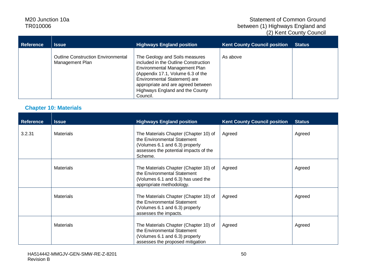#### Statement of Common Ground between (1) Highways England and (2) Kent County Council

| <b>Reference</b> | <b>Issue</b>                                                 | <b>Highways England position</b>                                                                                                                                                                                                                                  | <b>Kent County Council position</b> | <b>Status</b> |
|------------------|--------------------------------------------------------------|-------------------------------------------------------------------------------------------------------------------------------------------------------------------------------------------------------------------------------------------------------------------|-------------------------------------|---------------|
|                  | <b>Outline Construction Environmental</b><br>Management Plan | The Geology and Soils measures<br>included in the Outline Construction<br>Environmental Management Plan<br>(Appendix 17.1, Volume 6.3 of the<br>Environmental Statement) are<br>appropriate and are agreed between<br>Highways England and the County<br>Council. | As above                            |               |

#### **Chapter 10: Materials**

| <b>Reference</b> | <b>Issue</b>     | <b>Highways England position</b>                                                                                                                           | <b>Kent County Council position</b> | <b>Status</b> |
|------------------|------------------|------------------------------------------------------------------------------------------------------------------------------------------------------------|-------------------------------------|---------------|
| 3.2.31           | <b>Materials</b> | The Materials Chapter (Chapter 10) of<br>the Environmental Statement<br>(Volumes 6.1 and 6.3) properly<br>assesses the potential impacts of the<br>Scheme. | Agreed                              | Agreed        |
|                  | <b>Materials</b> | The Materials Chapter (Chapter 10) of<br>the Environmental Statement<br>(Volumes 6.1 and 6.3) has used the<br>appropriate methodology.                     | Agreed                              | Agreed        |
|                  | <b>Materials</b> | The Materials Chapter (Chapter 10) of<br>the Environmental Statement<br>(Volumes 6.1 and 6.3) properly<br>assesses the impacts.                            | Agreed                              | Agreed        |
|                  | <b>Materials</b> | The Materials Chapter (Chapter 10) of<br>the Environmental Statement<br>(Volumes 6.1 and 6.3) properly<br>assesses the proposed mitigation                 | Agreed                              | Agreed        |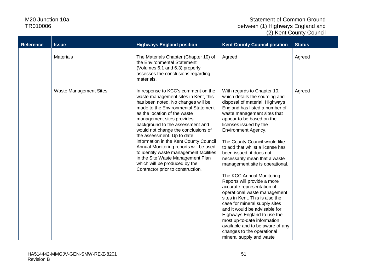| <b>Reference</b> | <b>Issue</b>                  | <b>Highways England position</b>                                                                                                                                                                                                                                                                                                                                                                                                                                                                                                                                         | <b>Kent County Council position</b>                                                                                                                                                                                                                                                                                                                                                                                                                                                                                                                                                                                                                                                                                                                                                                            | <b>Status</b> |
|------------------|-------------------------------|--------------------------------------------------------------------------------------------------------------------------------------------------------------------------------------------------------------------------------------------------------------------------------------------------------------------------------------------------------------------------------------------------------------------------------------------------------------------------------------------------------------------------------------------------------------------------|----------------------------------------------------------------------------------------------------------------------------------------------------------------------------------------------------------------------------------------------------------------------------------------------------------------------------------------------------------------------------------------------------------------------------------------------------------------------------------------------------------------------------------------------------------------------------------------------------------------------------------------------------------------------------------------------------------------------------------------------------------------------------------------------------------------|---------------|
|                  | <b>Materials</b>              | The Materials Chapter (Chapter 10) of<br>the Environmental Statement<br>(Volumes 6.1 and 6.3) properly<br>assesses the conclusions regarding<br>materials.                                                                                                                                                                                                                                                                                                                                                                                                               | Agreed                                                                                                                                                                                                                                                                                                                                                                                                                                                                                                                                                                                                                                                                                                                                                                                                         | Agreed        |
|                  | <b>Waste Management Sites</b> | In response to KCC's comment on the<br>waste management sites in Kent, this<br>has been noted. No changes will be<br>made to the Environmental Statement<br>as the location of the waste<br>management sites provides<br>background to the assessment and<br>would not change the conclusions of<br>the assessment. Up to date<br>information in the Kent County Council<br>Annual Monitoring reports will be used<br>to identify waste management facilities<br>in the Site Waste Management Plan<br>which will be produced by the<br>Contractor prior to construction. | With regards to Chapter 10,<br>which details the sourcing and<br>disposal of material, Highways<br>England has listed a number of<br>waste management sites that<br>appear to be based on the<br>licenses issued by the<br>Environment Agency.<br>The County Council would like<br>to add that whilst a license has<br>been issued, it does not<br>necessarily mean that a waste<br>management site is operational.<br>The KCC Annual Monitoring<br>Reports will provide a more<br>accurate representation of<br>operational waste management<br>sites in Kent. This is also the<br>case for mineral supply sites<br>and it would be advisable for<br>Highways England to use the<br>most up-to-date information<br>available and to be aware of any<br>changes to the operational<br>mineral supply and waste | Agreed        |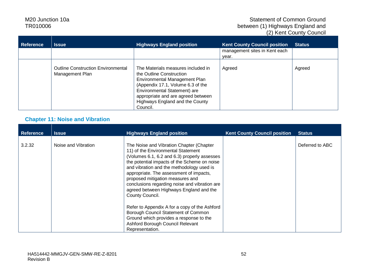#### Statement of Common Ground between (1) Highways England and (2) Kent County Council

| Reference | <b>Issue</b>                                                 | <b>Highways England position</b>                                                                                                                                                                                                                          | <b>Kent County Council position</b>    | <b>Status</b> |
|-----------|--------------------------------------------------------------|-----------------------------------------------------------------------------------------------------------------------------------------------------------------------------------------------------------------------------------------------------------|----------------------------------------|---------------|
|           |                                                              |                                                                                                                                                                                                                                                           | management sites in Kent each<br>year. |               |
|           | <b>Outline Construction Environmental</b><br>Management Plan | The Materials measures included in<br>the Outline Construction<br>Environmental Management Plan<br>(Appendix 17.1, Volume 6.3 of the<br>Environmental Statement) are<br>appropriate and are agreed between<br>Highways England and the County<br>Council. | Agreed                                 | Agreed        |

#### **Chapter 11: Noise and Vibration**

| <b>Reference</b> | <b>Issue</b>        | <b>Highways England position</b>                                                                                                                                                                                                                                                                                                                                                                                          | <b>Kent County Council position</b> | <b>Status</b>   |
|------------------|---------------------|---------------------------------------------------------------------------------------------------------------------------------------------------------------------------------------------------------------------------------------------------------------------------------------------------------------------------------------------------------------------------------------------------------------------------|-------------------------------------|-----------------|
| 3.2.32           | Noise and Vibration | The Noise and Vibration Chapter (Chapter<br>11) of the Environmental Statement<br>(Volumes 6.1, 6.2 and 6.3) properly assesses<br>the potential impacts of the Scheme on noise<br>and vibration and the methodology used is<br>appropriate. The assessment of impacts,<br>proposed mitigation measures and<br>conclusions regarding noise and vibration are<br>agreed between Highways England and the<br>County Council. |                                     | Deferred to ABC |
|                  |                     | Refer to Appendix A for a copy of the Ashford<br>Borough Council Statement of Common<br>Ground which provides a response to the<br>Ashford Borough Council Relevant<br>Representation.                                                                                                                                                                                                                                    |                                     |                 |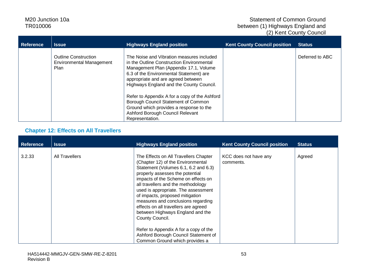#### Statement of Common Ground between (1) Highways England and (2) Kent County Council

| <b>Reference</b> | <b>Issue</b>                                                    | <b>Highways England position</b>                                                                                                                                                                                                                              | <b>Kent County Council position</b> | <b>Status</b>   |
|------------------|-----------------------------------------------------------------|---------------------------------------------------------------------------------------------------------------------------------------------------------------------------------------------------------------------------------------------------------------|-------------------------------------|-----------------|
|                  | <b>Outline Construction</b><br>Environmental Management<br>Plan | The Noise and Vibration measures included<br>in the Outline Construction Environmental<br>Management Plan (Appendix 17.1, Volume<br>6.3 of the Environmental Statement) are<br>appropriate and are agreed between<br>Highways England and the County Council. |                                     | Deferred to ABC |
|                  |                                                                 | Refer to Appendix A for a copy of the Ashford<br>Borough Council Statement of Common<br>Ground which provides a response to the<br>Ashford Borough Council Relevant<br>Representation.                                                                        |                                     |                 |

#### **Chapter 12: Effects on All Travellers**

| <b>Reference</b> | <b>Issue</b>   | <b>Highways England position</b>                                                                                                                                                                                                                                                                                                                                                                                                                  | <b>Kent County Council position</b> | <b>Status</b> |
|------------------|----------------|---------------------------------------------------------------------------------------------------------------------------------------------------------------------------------------------------------------------------------------------------------------------------------------------------------------------------------------------------------------------------------------------------------------------------------------------------|-------------------------------------|---------------|
| 3.2.33           | All Travellers | The Effects on All Travellers Chapter<br>(Chapter 12) of the Environmental<br>Statement (Volumes 6.1, 6.2 and 6.3)<br>properly assesses the potential<br>impacts of the Scheme on effects on<br>all travellers and the methodology<br>used is appropriate. The assessment<br>of impacts, proposed mitigation<br>measures and conclusions regarding<br>effects on all travellers are agreed<br>between Highways England and the<br>County Council. | KCC does not have any<br>comments.  | Agreed        |
|                  |                | Refer to Appendix A for a copy of the<br>Ashford Borough Council Statement of<br>Common Ground which provides a                                                                                                                                                                                                                                                                                                                                   |                                     |               |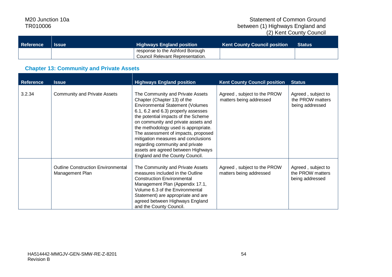| Reference | Issue | <b>Highways England position</b>              | <b>Kent County Council position \</b> | <b>Status</b> |
|-----------|-------|-----------------------------------------------|---------------------------------------|---------------|
|           |       | response to the Ashford Borough               |                                       |               |
|           |       | <sup>1</sup> Council Relevant Representation. |                                       |               |

#### **Chapter 13: Community and Private Assets**

| <b>Reference</b> | <b>Issue</b>                                                 | <b>Highways England position</b>                                                                                                                                                                                                                                                                                                                                                                                                                                  | <b>Kent County Council position</b>                    | <b>Status</b>                                             |
|------------------|--------------------------------------------------------------|-------------------------------------------------------------------------------------------------------------------------------------------------------------------------------------------------------------------------------------------------------------------------------------------------------------------------------------------------------------------------------------------------------------------------------------------------------------------|--------------------------------------------------------|-----------------------------------------------------------|
| 3.2.34           | <b>Community and Private Assets</b>                          | The Community and Private Assets<br>Chapter (Chapter 13) of the<br><b>Environmental Statement (Volumes</b><br>6.1, 6.2 and 6.3) properly assesses<br>the potential impacts of the Scheme<br>on community and private assets and<br>the methodology used is appropriate.<br>The assessment of impacts, proposed<br>mitigation measures and conclusions<br>regarding community and private<br>assets are agreed between Highways<br>England and the County Council. | Agreed, subject to the PROW<br>matters being addressed | Agreed, subject to<br>the PROW matters<br>being addressed |
|                  | <b>Outline Construction Environmental</b><br>Management Plan | The Community and Private Assets<br>measures included in the Outline<br><b>Construction Environmental</b><br>Management Plan (Appendix 17.1,<br>Volume 6.3 of the Environmental<br>Statement) are appropriate and are<br>agreed between Highways England<br>and the County Council.                                                                                                                                                                               | Agreed, subject to the PROW<br>matters being addressed | Agreed, subject to<br>the PROW matters<br>being addressed |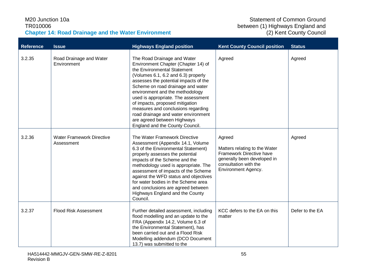#### M20 Junction 10a TR010006 **Chapter 14: Road Drainage and the Water Environment**

| <b>Reference</b> | <b>Issue</b>                                   | <b>Highways England position</b>                                                                                                                                                                                                                                                                                                                                                                                                                                                   | <b>Kent County Council position</b>                                                                                                                | <b>Status</b>   |
|------------------|------------------------------------------------|------------------------------------------------------------------------------------------------------------------------------------------------------------------------------------------------------------------------------------------------------------------------------------------------------------------------------------------------------------------------------------------------------------------------------------------------------------------------------------|----------------------------------------------------------------------------------------------------------------------------------------------------|-----------------|
| 3.2.35           | Road Drainage and Water<br>Environment         | The Road Drainage and Water<br>Environment Chapter (Chapter 14) of<br>the Environmental Statement<br>(Volumes 6.1, 6.2 and 6.3) properly<br>assesses the potential impacts of the<br>Scheme on road drainage and water<br>environment and the methodology<br>used is appropriate. The assessment<br>of impacts, proposed mitigation<br>measures and conclusions regarding<br>road drainage and water environment<br>are agreed between Highways<br>England and the County Council. | Agreed                                                                                                                                             | Agreed          |
| 3.2.36           | <b>Water Framework Directive</b><br>Assessment | The Water Framework Directive<br>Assessment (Appendix 14.1, Volume<br>6.3 of the Environmental Statement)<br>properly assesses the potential<br>impacts of the Scheme and the<br>methodology used is appropriate. The<br>assessment of impacts of the Scheme<br>against the WFD status and objectives<br>for water bodies in the Scheme area<br>and conclusions are agreed between<br>Highways England and the County<br>Council.                                                  | Agreed<br>Matters relating to the Water<br>Framework Directive have<br>generally been developed in<br>consultation with the<br>Environment Agency. | Agreed          |
| 3.2.37           | <b>Flood Risk Assessment</b>                   | Further detailed assessment, including<br>flood modelling and an update to the<br>FRA (Appendix 14.2, Volume 6.3 of<br>the Environmental Statement), has<br>been carried out and a Flood Risk<br>Modelling addendum (DCO Document<br>13.7) was submitted to the                                                                                                                                                                                                                    | KCC defers to the EA on this<br>matter                                                                                                             | Defer to the EA |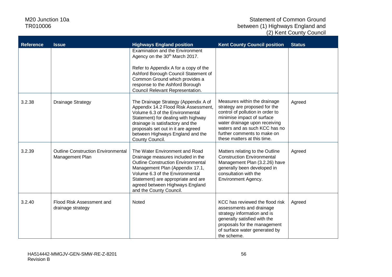| <b>Reference</b> | <b>Issue</b>                                                 | <b>Highways England position</b>                                                                                                                                                                                                                                                           | <b>Kent County Council position</b>                                                                                                                                                                                                                             | <b>Status</b> |
|------------------|--------------------------------------------------------------|--------------------------------------------------------------------------------------------------------------------------------------------------------------------------------------------------------------------------------------------------------------------------------------------|-----------------------------------------------------------------------------------------------------------------------------------------------------------------------------------------------------------------------------------------------------------------|---------------|
|                  |                                                              | Examination and the Environment<br>Agency on the 30 <sup>th</sup> March 2017.                                                                                                                                                                                                              |                                                                                                                                                                                                                                                                 |               |
|                  |                                                              | Refer to Appendix A for a copy of the<br>Ashford Borough Council Statement of<br>Common Ground which provides a<br>response to the Ashford Borough<br>Council Relevant Representation.                                                                                                     |                                                                                                                                                                                                                                                                 |               |
| 3.2.38           | <b>Drainage Strategy</b>                                     | The Drainage Strategy (Appendix A of<br>Appendix 14.2 Flood Risk Assessment,<br>Volume 6.3 of the Environmental<br>Statement) for dealing with highway<br>drainage is satisfactory and the<br>proposals set out in it are agreed<br>between Highways England and the<br>County Council.    | Measures within the drainage<br>strategy are proposed for the<br>control of pollution in order to<br>minimise impact of surface<br>water drainage upon receiving<br>waters and as such KCC has no<br>further comments to make on<br>these matters at this time. | Agreed        |
| 3.2.39           | <b>Outline Construction Environmental</b><br>Management Plan | The Water Environment and Road<br>Drainage measures included in the<br><b>Outline Construction Environmental</b><br>Management Plan (Appendix 17.1,<br>Volume 6.3 of the Environmental<br>Statement) are appropriate and are<br>agreed between Highways England<br>and the County Council. | Matters relating to the Outline<br><b>Construction Environmental</b><br>Management Plan (3.2.26) have<br>generally been developed in<br>consultation with the<br>Environment Agency.                                                                            | Agreed        |
| 3.2.40           | Flood Risk Assessment and<br>drainage strategy               | Noted                                                                                                                                                                                                                                                                                      | KCC has reviewed the flood risk<br>assessments and drainage<br>strategy information and is<br>generally satisfied with the<br>proposals for the management<br>of surface water generated by<br>the scheme.                                                      | Agreed        |